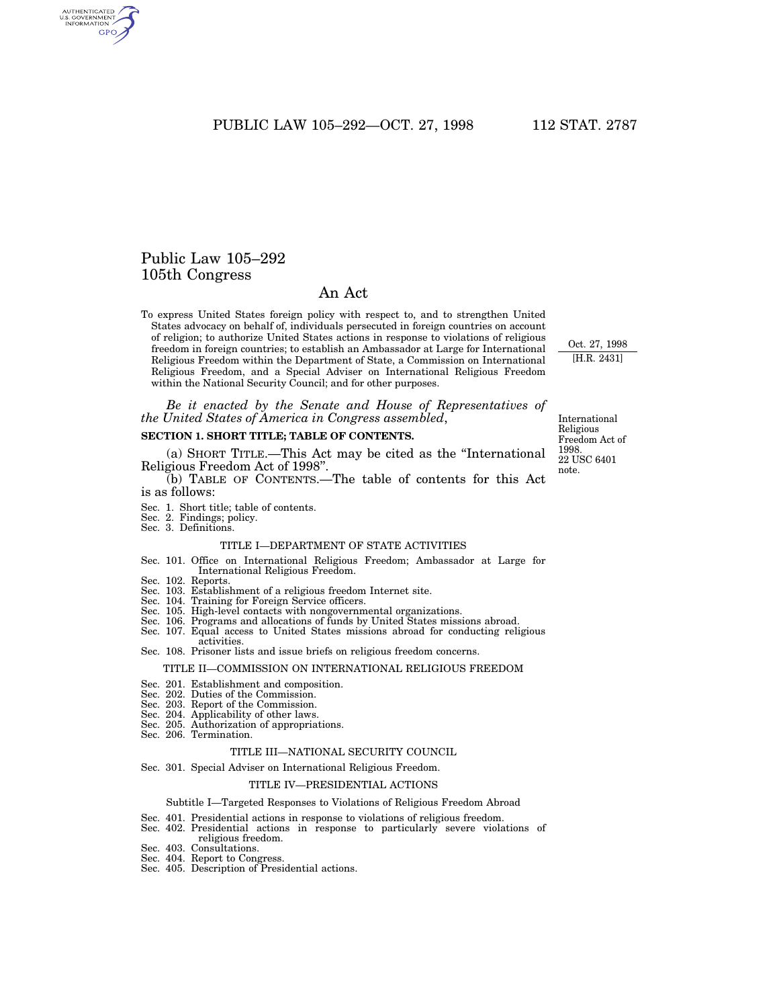PUBLIC LAW 105-292-OCT. 27, 1998 112 STAT. 2787

# Public Law 105–292 105th Congress

AUTHENTICATED<br>U.S. GOVERNMENT<br>INFORMATION **GPO** 

# An Act

To express United States foreign policy with respect to, and to strengthen United States advocacy on behalf of, individuals persecuted in foreign countries on account of religion; to authorize United States actions in response to violations of religious freedom in foreign countries; to establish an Ambassador at Large for International Religious Freedom within the Department of State, a Commission on International Religious Freedom, and a Special Adviser on International Religious Freedom within the National Security Council; and for other purposes.

*Be it enacted by the Senate and House of Representatives of the United States of America in Congress assembled*,

# **SECTION 1. SHORT TITLE; TABLE OF CONTENTS.**

(a) SHORT TITLE.—This Act may be cited as the ''International Religious Freedom Act of 1998''.

(b) TABLE OF CONTENTS.—The table of contents for this Act is as follows:

- Sec. 1. Short title; table of contents. Sec. 2. Findings; policy. Sec. 3. Definitions.
- 
- 

### TITLE I—DEPARTMENT OF STATE ACTIVITIES

- Sec. 101. Office on International Religious Freedom; Ambassador at Large for International Religious Freedom.
- Sec. 102. Reports.
- Sec. 103. Establishment of a religious freedom Internet site.
- Sec. 104. Training for Foreign Service officers.
- Sec. 105. High-level contacts with nongovernmental organizations. Sec. 106. Programs and allocations of funds by United States missions abroad.
- 
- Sec. 107. Equal access to United States missions abroad for conducting religious activities.
- Sec. 108. Prisoner lists and issue briefs on religious freedom concerns.

#### TITLE II—COMMISSION ON INTERNATIONAL RELIGIOUS FREEDOM

### Sec. 201. Establishment and composition.

- Sec. 202. Duties of the Commission.
- Sec. 203. Report of the Commission.
- Sec. 204. Applicability of other laws.
- Sec. 205. Authorization of appropriations.
- Sec. 206. Termination.

### TITLE III—NATIONAL SECURITY COUNCIL

Sec. 301. Special Adviser on International Religious Freedom.

### TITLE IV—PRESIDENTIAL ACTIONS

### Subtitle I—Targeted Responses to Violations of Religious Freedom Abroad

- Sec. 401. Presidential actions in response to violations of religious freedom.
- Sec. 402. Presidential actions in response to particularly severe violations of religious freedom.
- Sec. 403. Consultations.
- 
- Sec. 404. Report to Congress. Sec. 405. Description of Presidential actions.

22 USC 6401 note. International Religious Freedom Act of 1998.

Oct. 27, 1998 [H.R. 2431]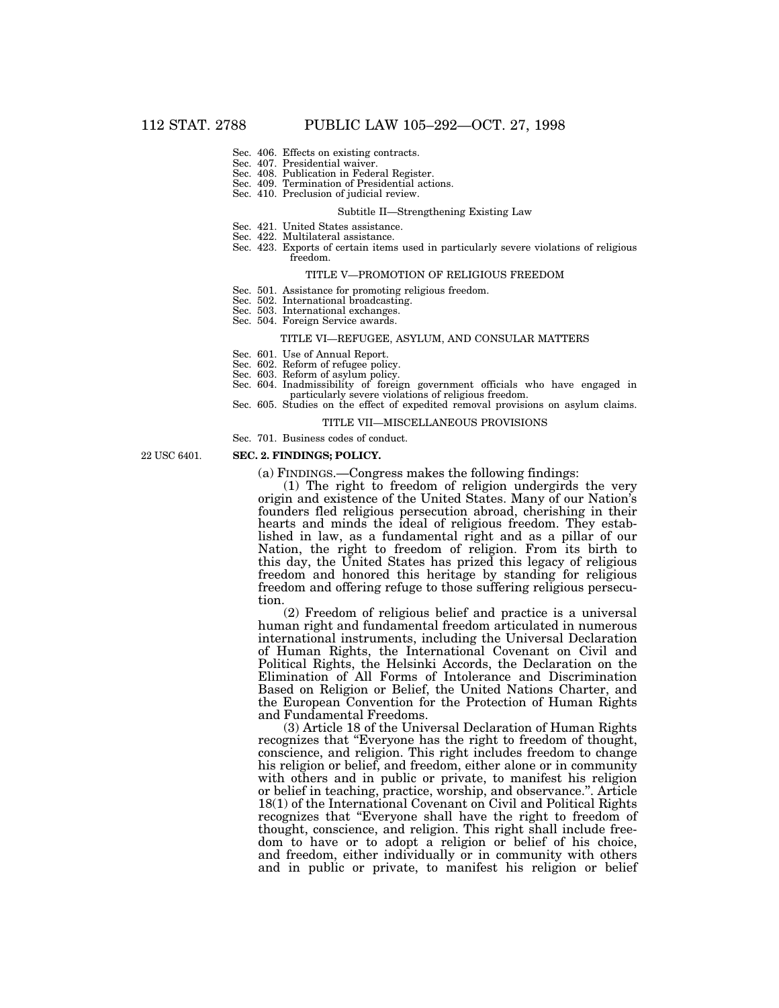- Sec. 406. Effects on existing contracts.
- Sec. 407. Presidential waiver.
- Sec. 408. Publication in Federal Register.
- Sec. 409. Termination of Presidential actions. Sec. 410. Preclusion of judicial review.
- 

### Subtitle II—Strengthening Existing Law

- Sec. 421. United States assistance.
- Sec. 422. Multilateral assistance.
- Sec. 423. Exports of certain items used in particularly severe violations of religious freedom.

### TITLE V—PROMOTION OF RELIGIOUS FREEDOM

- Sec. 501. Assistance for promoting religious freedom.
- Sec. 502. International broadcasting.
- Sec. 503. International exchanges.
- Sec. 504. Foreign Service awards.

#### TITLE VI—REFUGEE, ASYLUM, AND CONSULAR MATTERS

- Sec. 601. Use of Annual Report.
- Sec. 602. Reform of refugee policy.
- Sec. 603. Reform of asylum policy.
- Sec. 604. Inadmissibility of foreign government officials who have engaged in particularly severe violations of religious freedom.
- Sec. 605. Studies on the effect of expedited removal provisions on asylum claims.

### TITLE VII—MISCELLANEOUS PROVISIONS

Sec. 701. Business codes of conduct.

22 USC 6401.

# **SEC. 2. FINDINGS; POLICY.**

(a) FINDINGS.—Congress makes the following findings:

(1) The right to freedom of religion undergirds the very origin and existence of the United States. Many of our Nation's founders fled religious persecution abroad, cherishing in their hearts and minds the ideal of religious freedom. They established in law, as a fundamental right and as a pillar of our Nation, the right to freedom of religion. From its birth to this day, the United States has prized this legacy of religious freedom and honored this heritage by standing for religious freedom and offering refuge to those suffering religious persecution.

(2) Freedom of religious belief and practice is a universal human right and fundamental freedom articulated in numerous international instruments, including the Universal Declaration of Human Rights, the International Covenant on Civil and Political Rights, the Helsinki Accords, the Declaration on the Elimination of All Forms of Intolerance and Discrimination Based on Religion or Belief, the United Nations Charter, and the European Convention for the Protection of Human Rights and Fundamental Freedoms.

(3) Article 18 of the Universal Declaration of Human Rights recognizes that ''Everyone has the right to freedom of thought, conscience, and religion. This right includes freedom to change his religion or belief, and freedom, either alone or in community with others and in public or private, to manifest his religion or belief in teaching, practice, worship, and observance.''. Article 18(1) of the International Covenant on Civil and Political Rights recognizes that ''Everyone shall have the right to freedom of thought, conscience, and religion. This right shall include freedom to have or to adopt a religion or belief of his choice, and freedom, either individually or in community with others and in public or private, to manifest his religion or belief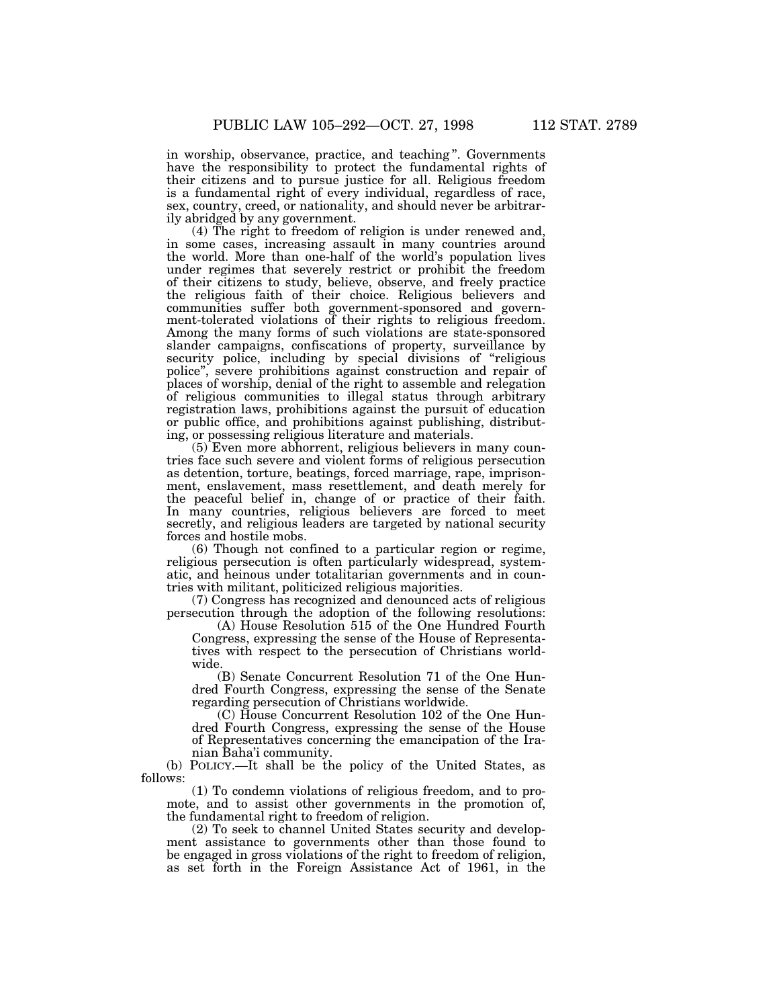in worship, observance, practice, and teaching". Governments have the responsibility to protect the fundamental rights of their citizens and to pursue justice for all. Religious freedom is a fundamental right of every individual, regardless of race, sex, country, creed, or nationality, and should never be arbitrarily abridged by any government.

(4) The right to freedom of religion is under renewed and, in some cases, increasing assault in many countries around the world. More than one-half of the world's population lives under regimes that severely restrict or prohibit the freedom of their citizens to study, believe, observe, and freely practice the religious faith of their choice. Religious believers and communities suffer both government-sponsored and government-tolerated violations of their rights to religious freedom. Among the many forms of such violations are state-sponsored slander campaigns, confiscations of property, surveillance by security police, including by special divisions of ''religious police'', severe prohibitions against construction and repair of places of worship, denial of the right to assemble and relegation of religious communities to illegal status through arbitrary registration laws, prohibitions against the pursuit of education or public office, and prohibitions against publishing, distributing, or possessing religious literature and materials.

(5) Even more abhorrent, religious believers in many countries face such severe and violent forms of religious persecution as detention, torture, beatings, forced marriage, rape, imprisonment, enslavement, mass resettlement, and death merely for the peaceful belief in, change of or practice of their faith. In many countries, religious believers are forced to meet secretly, and religious leaders are targeted by national security forces and hostile mobs.

(6) Though not confined to a particular region or regime, religious persecution is often particularly widespread, systematic, and heinous under totalitarian governments and in countries with militant, politicized religious majorities.

(7) Congress has recognized and denounced acts of religious persecution through the adoption of the following resolutions:

(A) House Resolution 515 of the One Hundred Fourth Congress, expressing the sense of the House of Representatives with respect to the persecution of Christians worldwide

(B) Senate Concurrent Resolution 71 of the One Hundred Fourth Congress, expressing the sense of the Senate regarding persecution of Christians worldwide.

(C) House Concurrent Resolution 102 of the One Hundred Fourth Congress, expressing the sense of the House of Representatives concerning the emancipation of the Iranian Baha'i community.

(b) POLICY.—It shall be the policy of the United States, as follows:

(1) To condemn violations of religious freedom, and to promote, and to assist other governments in the promotion of, the fundamental right to freedom of religion.

(2) To seek to channel United States security and development assistance to governments other than those found to be engaged in gross violations of the right to freedom of religion, as set forth in the Foreign Assistance Act of 1961, in the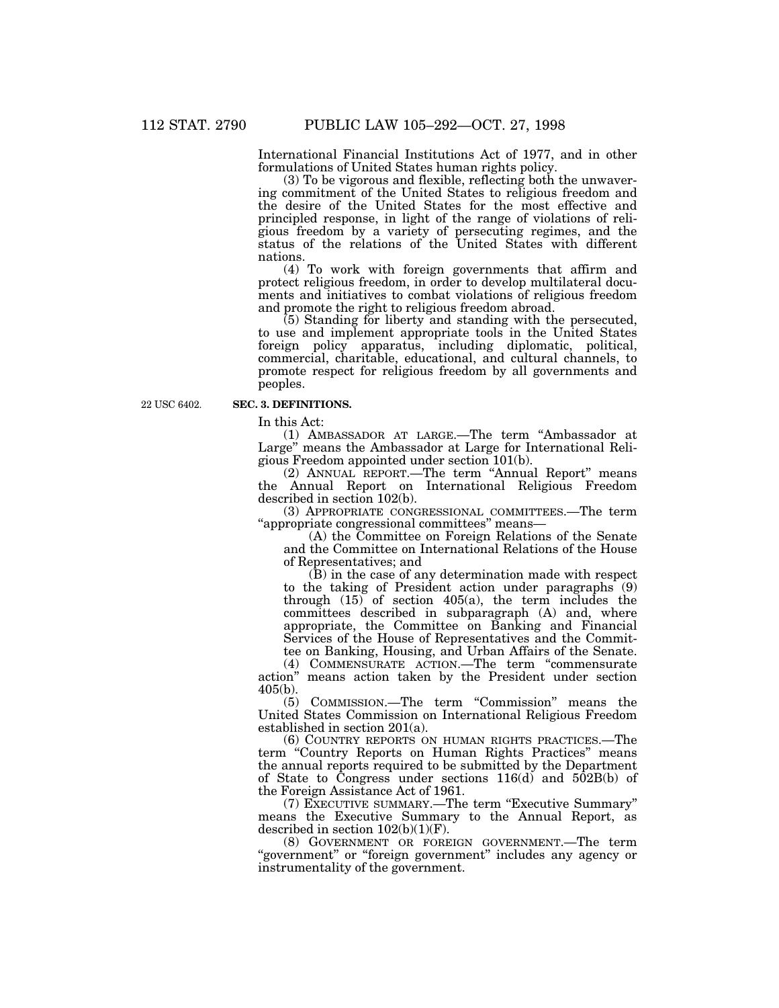International Financial Institutions Act of 1977, and in other formulations of United States human rights policy.

(3) To be vigorous and flexible, reflecting both the unwavering commitment of the United States to religious freedom and the desire of the United States for the most effective and principled response, in light of the range of violations of religious freedom by a variety of persecuting regimes, and the status of the relations of the United States with different nations.

(4) To work with foreign governments that affirm and protect religious freedom, in order to develop multilateral documents and initiatives to combat violations of religious freedom and promote the right to religious freedom abroad.

(5) Standing for liberty and standing with the persecuted, to use and implement appropriate tools in the United States foreign policy apparatus, including diplomatic, political, commercial, charitable, educational, and cultural channels, to promote respect for religious freedom by all governments and peoples.

22 USC 6402.

### **SEC. 3. DEFINITIONS.**

In this Act:

(1) AMBASSADOR AT LARGE.—The term ''Ambassador at Large'' means the Ambassador at Large for International Religious Freedom appointed under section 101(b).

(2) ANNUAL REPORT.—The term ''Annual Report'' means the Annual Report on International Religious Freedom described in section 102(b).

(3) APPROPRIATE CONGRESSIONAL COMMITTEES.—The term ''appropriate congressional committees'' means—

(A) the Committee on Foreign Relations of the Senate and the Committee on International Relations of the House of Representatives; and

(B) in the case of any determination made with respect to the taking of President action under paragraphs (9) through  $(15)$  of section  $405(a)$ , the term includes the committees described in subparagraph (A) and, where appropriate, the Committee on Banking and Financial Services of the House of Representatives and the Committee on Banking, Housing, and Urban Affairs of the Senate.

(4) COMMENSURATE ACTION.—The term ''commensurate action'' means action taken by the President under section 405(b).

(5) COMMISSION.—The term ''Commission'' means the United States Commission on International Religious Freedom established in section 201(a).

(6) COUNTRY REPORTS ON HUMAN RIGHTS PRACTICES.—The term ''Country Reports on Human Rights Practices'' means the annual reports required to be submitted by the Department of State to Congress under sections 116(d) and 502B(b) of the Foreign Assistance Act of 1961.

(7) EXECUTIVE SUMMARY.—The term ''Executive Summary'' means the Executive Summary to the Annual Report, as described in section  $102(b)(1)(F)$ .

(8) GOVERNMENT OR FOREIGN GOVERNMENT.—The term "government" or "foreign government" includes any agency or instrumentality of the government.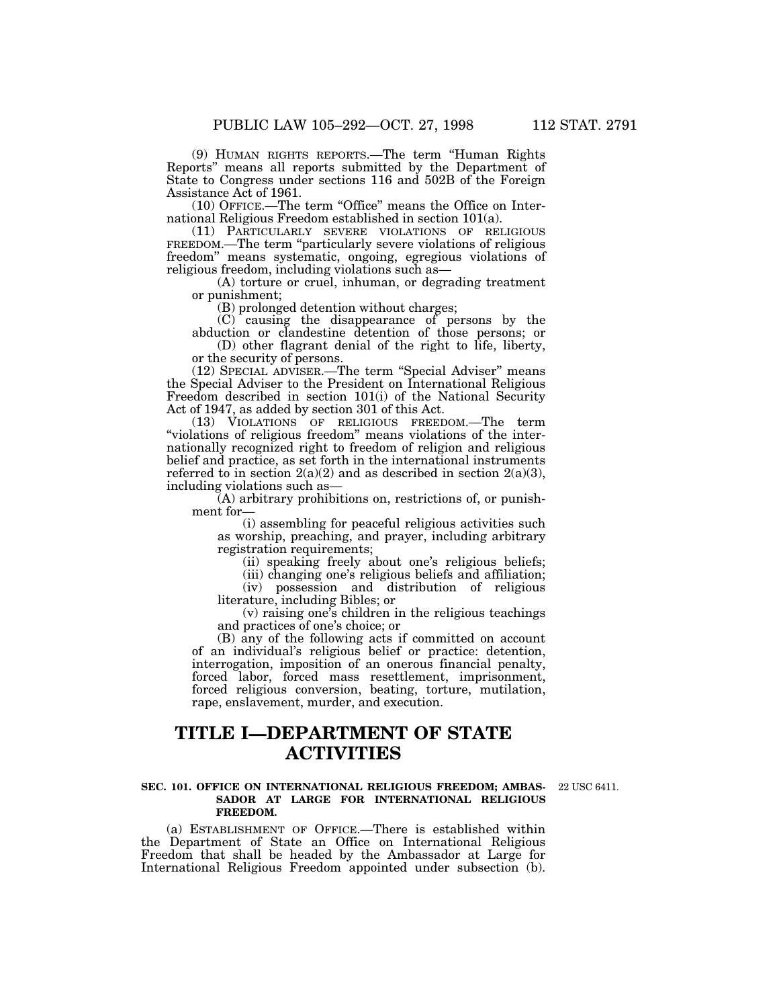(9) HUMAN RIGHTS REPORTS.—The term ''Human Rights Reports'' means all reports submitted by the Department of State to Congress under sections 116 and 502B of the Foreign Assistance Act of 1961.

(10) OFFICE.—The term "Office" means the Office on International Religious Freedom established in section 101(a).

(11) PARTICULARLY SEVERE VIOLATIONS OF RELIGIOUS FREEDOM.—The term "particularly severe violations of religious freedom'' means systematic, ongoing, egregious violations of religious freedom, including violations such as—

(A) torture or cruel, inhuman, or degrading treatment or punishment;

(B) prolonged detention without charges;

(C) causing the disappearance of persons by the abduction or clandestine detention of those persons; or

(D) other flagrant denial of the right to life, liberty, or the security of persons.

(12) SPECIAL ADVISER.—The term ''Special Adviser'' means the Special Adviser to the President on International Religious Freedom described in section 101(i) of the National Security Act of 1947, as added by section 301 of this Act.

(13) VIOLATIONS OF RELIGIOUS FREEDOM.—The term ''violations of religious freedom'' means violations of the internationally recognized right to freedom of religion and religious belief and practice, as set forth in the international instruments referred to in section  $2(a)(2)$  and as described in section  $2(a)(3)$ , including violations such as—

(A) arbitrary prohibitions on, restrictions of, or punishment for—

(i) assembling for peaceful religious activities such as worship, preaching, and prayer, including arbitrary registration requirements;

(ii) speaking freely about one's religious beliefs;

(iii) changing one's religious beliefs and affiliation;

(iv) possession and distribution of religious literature, including Bibles; or

(v) raising one's children in the religious teachings and practices of one's choice; or

(B) any of the following acts if committed on account of an individual's religious belief or practice: detention, interrogation, imposition of an onerous financial penalty, forced labor, forced mass resettlement, imprisonment, forced religious conversion, beating, torture, mutilation, rape, enslavement, murder, and execution.

# **TITLE I—DEPARTMENT OF STATE ACTIVITIES**

### **SEC. 101. OFFICE ON INTERNATIONAL RELIGIOUS FREEDOM; AMBAS-SADOR AT LARGE FOR INTERNATIONAL RELIGIOUS FREEDOM.**

22 USC 6411.

(a) ESTABLISHMENT OF OFFICE.—There is established within the Department of State an Office on International Religious Freedom that shall be headed by the Ambassador at Large for International Religious Freedom appointed under subsection (b).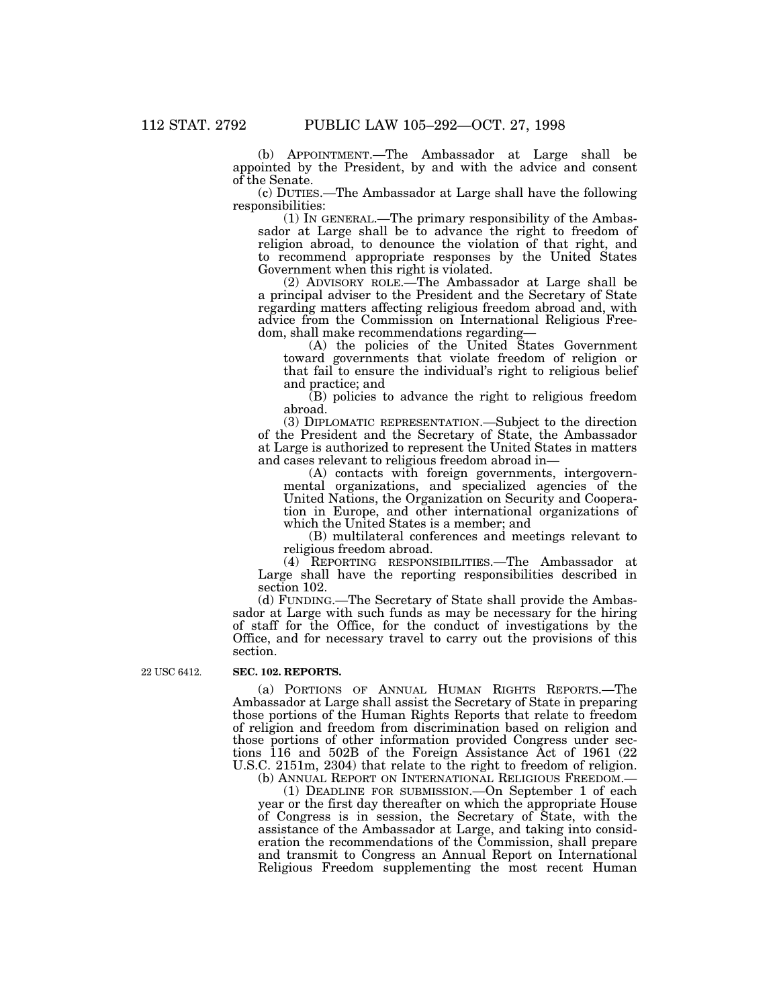(b) APPOINTMENT.—The Ambassador at Large shall be appointed by the President, by and with the advice and consent of the Senate.

(c) DUTIES.—The Ambassador at Large shall have the following responsibilities:

(1) IN GENERAL.—The primary responsibility of the Ambassador at Large shall be to advance the right to freedom of religion abroad, to denounce the violation of that right, and to recommend appropriate responses by the United States Government when this right is violated.

(2) ADVISORY ROLE.—The Ambassador at Large shall be a principal adviser to the President and the Secretary of State regarding matters affecting religious freedom abroad and, with advice from the Commission on International Religious Freedom, shall make recommendations regarding—

(A) the policies of the United States Government toward governments that violate freedom of religion or that fail to ensure the individual's right to religious belief and practice; and

(B) policies to advance the right to religious freedom abroad.

(3) DIPLOMATIC REPRESENTATION.—Subject to the direction of the President and the Secretary of State, the Ambassador at Large is authorized to represent the United States in matters and cases relevant to religious freedom abroad in—

(A) contacts with foreign governments, intergovernmental organizations, and specialized agencies of the United Nations, the Organization on Security and Cooperation in Europe, and other international organizations of which the United States is a member; and

(B) multilateral conferences and meetings relevant to religious freedom abroad.

(4) REPORTING RESPONSIBILITIES.—The Ambassador at Large shall have the reporting responsibilities described in section 102.

(d) FUNDING.—The Secretary of State shall provide the Ambassador at Large with such funds as may be necessary for the hiring of staff for the Office, for the conduct of investigations by the Office, and for necessary travel to carry out the provisions of this section.

22 USC 6412.

# **SEC. 102. REPORTS.**

(a) PORTIONS OF ANNUAL HUMAN RIGHTS REPORTS.—The Ambassador at Large shall assist the Secretary of State in preparing those portions of the Human Rights Reports that relate to freedom of religion and freedom from discrimination based on religion and those portions of other information provided Congress under sections 116 and 502B of the Foreign Assistance Act of 1961 (22 U.S.C. 2151m, 2304) that relate to the right to freedom of religion.

(b) ANNUAL REPORT ON INTERNATIONAL RELIGIOUS FREEDOM.—

(1) DEADLINE FOR SUBMISSION.—On September 1 of each year or the first day thereafter on which the appropriate House of Congress is in session, the Secretary of State, with the assistance of the Ambassador at Large, and taking into consideration the recommendations of the Commission, shall prepare and transmit to Congress an Annual Report on International Religious Freedom supplementing the most recent Human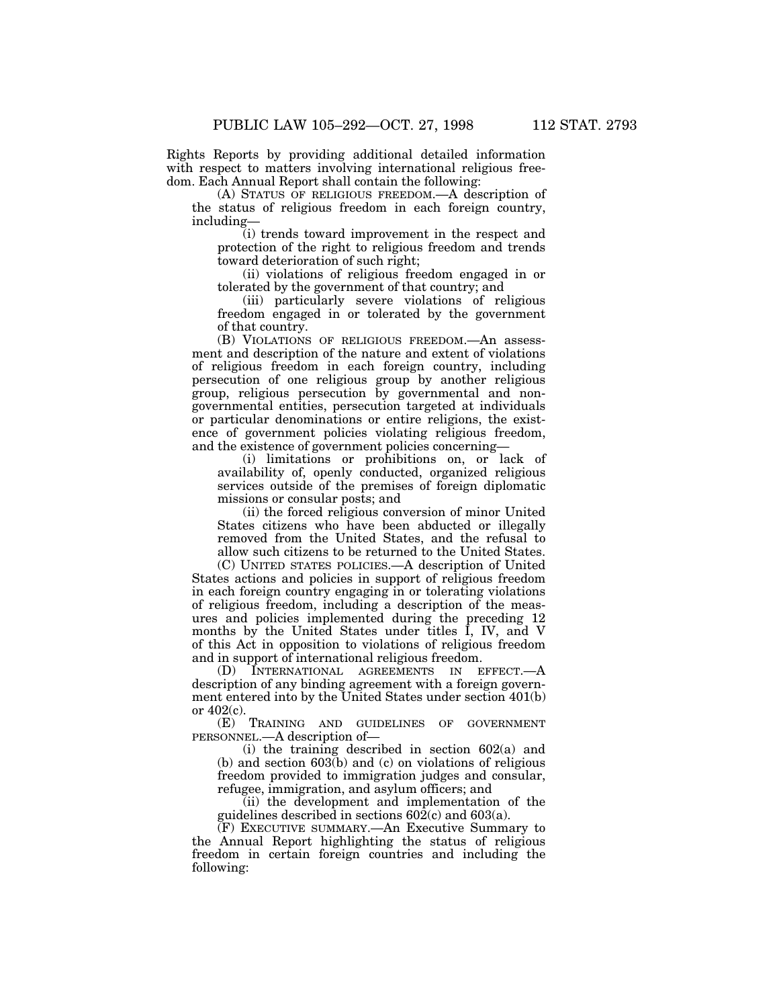Rights Reports by providing additional detailed information with respect to matters involving international religious freedom. Each Annual Report shall contain the following:

(A) STATUS OF RELIGIOUS FREEDOM.—A description of the status of religious freedom in each foreign country, including—

(i) trends toward improvement in the respect and protection of the right to religious freedom and trends toward deterioration of such right;

(ii) violations of religious freedom engaged in or tolerated by the government of that country; and

(iii) particularly severe violations of religious freedom engaged in or tolerated by the government of that country.

(B) VIOLATIONS OF RELIGIOUS FREEDOM.—An assessment and description of the nature and extent of violations of religious freedom in each foreign country, including persecution of one religious group by another religious group, religious persecution by governmental and nongovernmental entities, persecution targeted at individuals or particular denominations or entire religions, the existence of government policies violating religious freedom, and the existence of government policies concerning—

(i) limitations or prohibitions on, or lack of availability of, openly conducted, organized religious services outside of the premises of foreign diplomatic missions or consular posts; and

(ii) the forced religious conversion of minor United States citizens who have been abducted or illegally removed from the United States, and the refusal to allow such citizens to be returned to the United States.

(C) UNITED STATES POLICIES.—A description of United States actions and policies in support of religious freedom in each foreign country engaging in or tolerating violations of religious freedom, including a description of the measures and policies implemented during the preceding 12 months by the United States under titles I, IV, and V of this Act in opposition to violations of religious freedom and in support of international religious freedom.

(D) INTERNATIONAL AGREEMENTS IN EFFECT.—A description of any binding agreement with a foreign government entered into by the United States under section 401(b) or  $402(c)$ .<br>(E)

TRAINING AND GUIDELINES OF GOVERNMENT PERSONNEL.—A description of—

(i) the training described in section 602(a) and (b) and section  $603(b)$  and (c) on violations of religious freedom provided to immigration judges and consular, refugee, immigration, and asylum officers; and

(ii) the development and implementation of the guidelines described in sections  $60\overline{2}$ (c) and  $603$ (a).

(F) EXECUTIVE SUMMARY.—An Executive Summary to the Annual Report highlighting the status of religious freedom in certain foreign countries and including the following: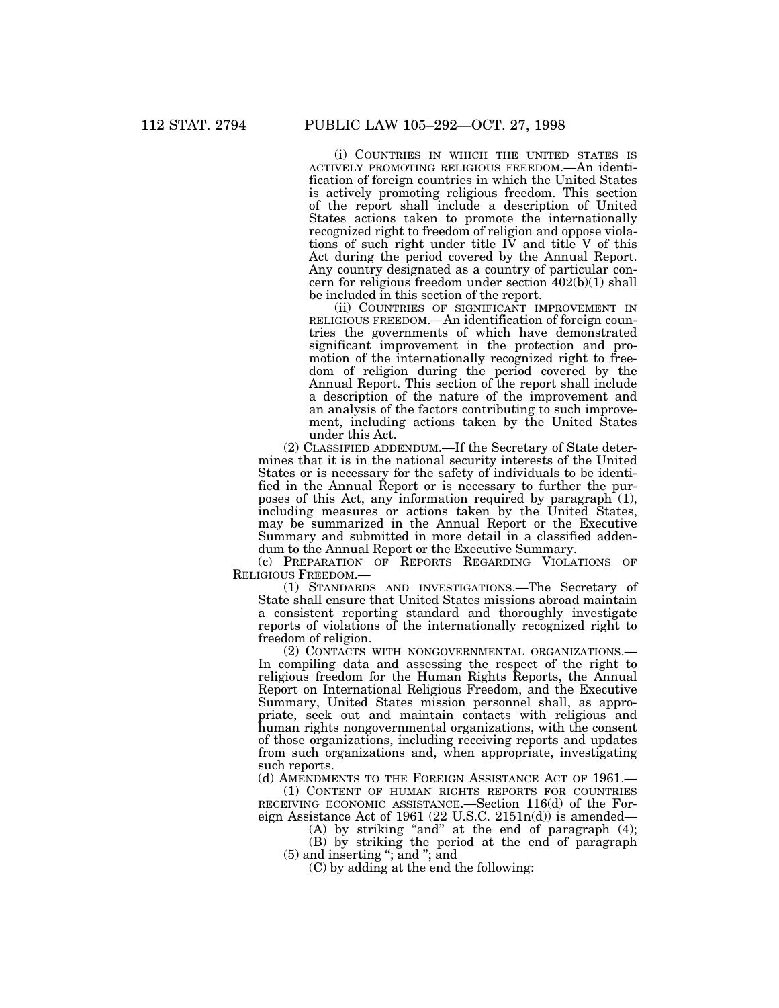(i) COUNTRIES IN WHICH THE UNITED STATES IS ACTIVELY PROMOTING RELIGIOUS FREEDOM.—An identification of foreign countries in which the United States is actively promoting religious freedom. This section of the report shall include a description of United States actions taken to promote the internationally recognized right to freedom of religion and oppose violations of such right under title IV and title V of this Act during the period covered by the Annual Report. Any country designated as a country of particular concern for religious freedom under section 402(b)(1) shall be included in this section of the report.

(ii) COUNTRIES OF SIGNIFICANT IMPROVEMENT IN RELIGIOUS FREEDOM.—An identification of foreign countries the governments of which have demonstrated significant improvement in the protection and promotion of the internationally recognized right to freedom of religion during the period covered by the Annual Report. This section of the report shall include a description of the nature of the improvement and an analysis of the factors contributing to such improvement, including actions taken by the United States under this Act.

(2) CLASSIFIED ADDENDUM.—If the Secretary of State determines that it is in the national security interests of the United States or is necessary for the safety of individuals to be identified in the Annual Report or is necessary to further the purposes of this Act, any information required by paragraph (1), including measures or actions taken by the United States, may be summarized in the Annual Report or the Executive Summary and submitted in more detail in a classified addendum to the Annual Report or the Executive Summary.

(c) PREPARATION OF REPORTS REGARDING VIOLATIONS OF RELIGIOUS FREEDOM.—

(1) STANDARDS AND INVESTIGATIONS.—The Secretary of State shall ensure that United States missions abroad maintain a consistent reporting standard and thoroughly investigate reports of violations of the internationally recognized right to freedom of religion.

(2) CONTACTS WITH NONGOVERNMENTAL ORGANIZATIONS.— In compiling data and assessing the respect of the right to religious freedom for the Human Rights Reports, the Annual Report on International Religious Freedom, and the Executive Summary, United States mission personnel shall, as appropriate, seek out and maintain contacts with religious and human rights nongovernmental organizations, with the consent of those organizations, including receiving reports and updates from such organizations and, when appropriate, investigating such reports.

(d) AMENDMENTS TO THE FOREIGN ASSISTANCE ACT OF 1961.— (1) CONTENT OF HUMAN RIGHTS REPORTS FOR COUNTRIES

RECEIVING ECONOMIC ASSISTANCE.—Section 116(d) of the Foreign Assistance Act of 1961 (22 U.S.C. 2151n(d)) is amended— (A) by striking "and" at the end of paragraph (4);

(B) by striking the period at the end of paragraph

(5) and inserting ''; and ''; and

(C) by adding at the end the following: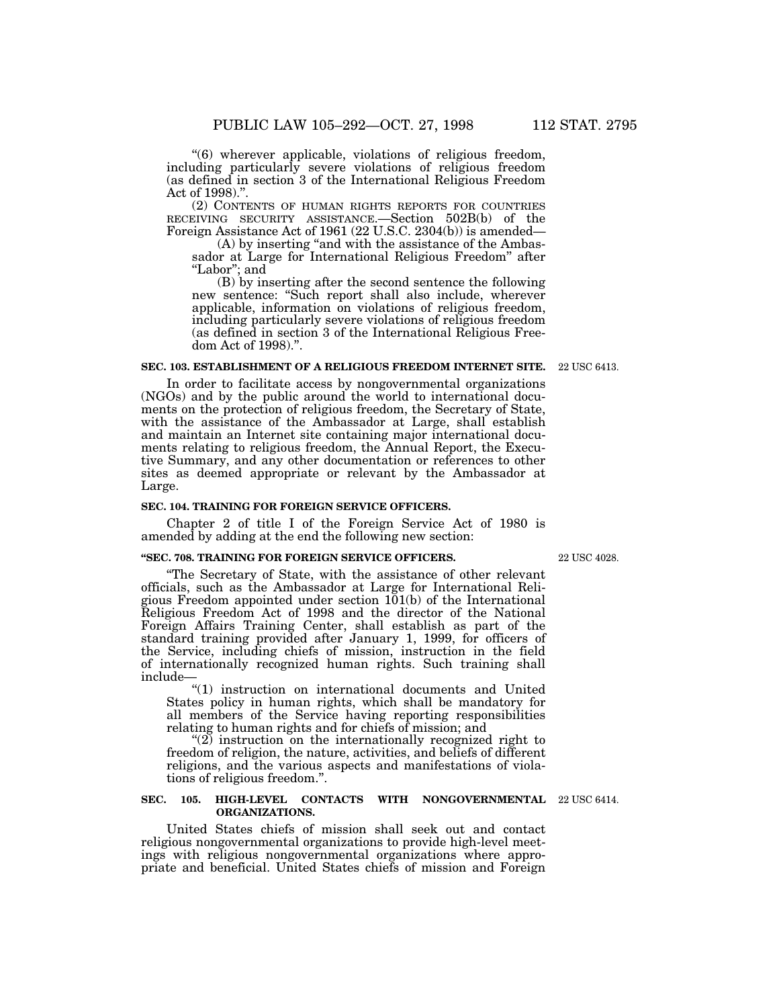''(6) wherever applicable, violations of religious freedom, including particularly severe violations of religious freedom (as defined in section 3 of the International Religious Freedom Act of 1998).''.

(2) CONTENTS OF HUMAN RIGHTS REPORTS FOR COUNTRIES RECEIVING SECURITY ASSISTANCE.—Section 502B(b) of the Foreign Assistance Act of 1961 (22 U.S.C. 2304(b)) is amended—

(A) by inserting ''and with the assistance of the Ambassador at Large for International Religious Freedom'' after ''Labor''; and

(B) by inserting after the second sentence the following new sentence: ''Such report shall also include, wherever applicable, information on violations of religious freedom, including particularly severe violations of religious freedom (as defined in section 3 of the International Religious Freedom Act of 1998).''.

#### **SEC. 103. ESTABLISHMENT OF A RELIGIOUS FREEDOM INTERNET SITE.** 22 USC 6413.

In order to facilitate access by nongovernmental organizations (NGOs) and by the public around the world to international documents on the protection of religious freedom, the Secretary of State, with the assistance of the Ambassador at Large, shall establish and maintain an Internet site containing major international documents relating to religious freedom, the Annual Report, the Executive Summary, and any other documentation or references to other sites as deemed appropriate or relevant by the Ambassador at Large.

### **SEC. 104. TRAINING FOR FOREIGN SERVICE OFFICERS.**

Chapter 2 of title I of the Foreign Service Act of 1980 is amended by adding at the end the following new section:

### **''SEC. 708. TRAINING FOR FOREIGN SERVICE OFFICERS.**

''The Secretary of State, with the assistance of other relevant officials, such as the Ambassador at Large for International Religious Freedom appointed under section  $101(b)$  of the International Religious Freedom Act of 1998 and the director of the National Foreign Affairs Training Center, shall establish as part of the standard training provided after January 1, 1999, for officers of the Service, including chiefs of mission, instruction in the field of internationally recognized human rights. Such training shall include—

"(1) instruction on international documents and United States policy in human rights, which shall be mandatory for all members of the Service having reporting responsibilities relating to human rights and for chiefs of mission; and

 $(2)$  instruction on the internationally recognized right to freedom of religion, the nature, activities, and beliefs of different religions, and the various aspects and manifestations of violations of religious freedom.''.

### **SEC. 105. HIGH-LEVEL CONTACTS WITH NONGOVERNMENTAL** 22 USC 6414. **ORGANIZATIONS.**

United States chiefs of mission shall seek out and contact religious nongovernmental organizations to provide high-level meetings with religious nongovernmental organizations where appropriate and beneficial. United States chiefs of mission and Foreign

22 USC 4028.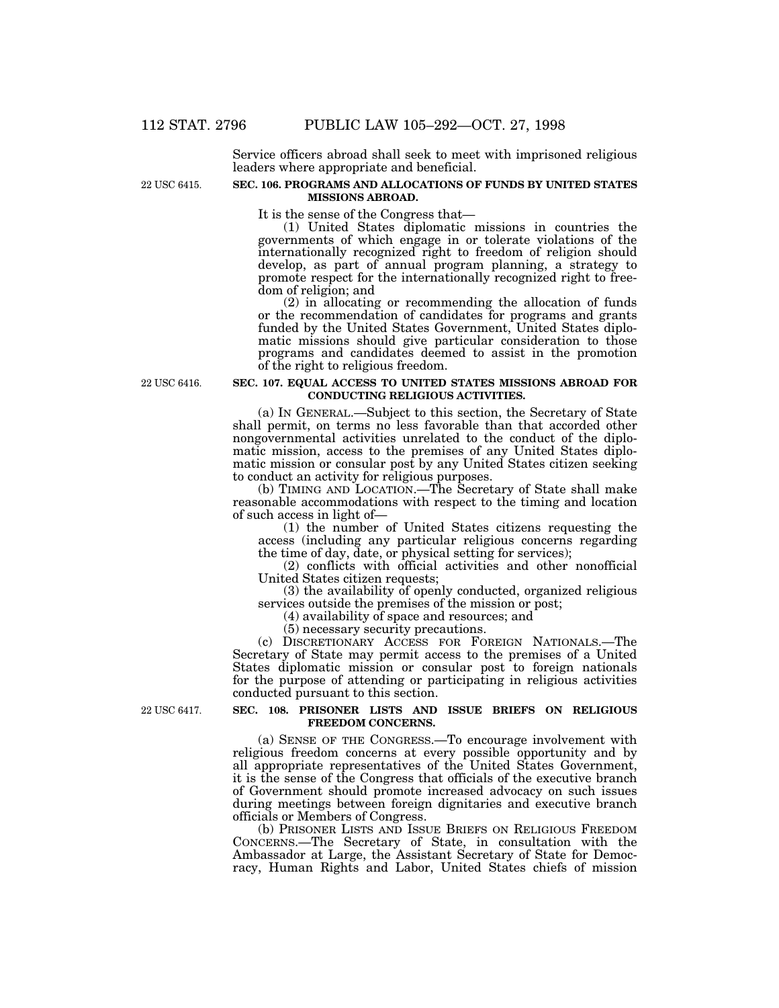Service officers abroad shall seek to meet with imprisoned religious leaders where appropriate and beneficial.

22 USC 6415.

### **SEC. 106. PROGRAMS AND ALLOCATIONS OF FUNDS BY UNITED STATES MISSIONS ABROAD.**

It is the sense of the Congress that—

(1) United States diplomatic missions in countries the governments of which engage in or tolerate violations of the internationally recognized right to freedom of religion should develop, as part of annual program planning, a strategy to promote respect for the internationally recognized right to freedom of religion; and

(2) in allocating or recommending the allocation of funds or the recommendation of candidates for programs and grants funded by the United States Government, United States diplomatic missions should give particular consideration to those programs and candidates deemed to assist in the promotion of the right to religious freedom.

22 USC 6416.

### **SEC. 107. EQUAL ACCESS TO UNITED STATES MISSIONS ABROAD FOR CONDUCTING RELIGIOUS ACTIVITIES.**

(a) IN GENERAL.—Subject to this section, the Secretary of State shall permit, on terms no less favorable than that accorded other nongovernmental activities unrelated to the conduct of the diplomatic mission, access to the premises of any United States diplomatic mission or consular post by any United States citizen seeking to conduct an activity for religious purposes.

(b) TIMING AND LOCATION.—The Secretary of State shall make reasonable accommodations with respect to the timing and location of such access in light of—

(1) the number of United States citizens requesting the access (including any particular religious concerns regarding the time of day, date, or physical setting for services);

(2) conflicts with official activities and other nonofficial United States citizen requests;

(3) the availability of openly conducted, organized religious services outside the premises of the mission or post;

(4) availability of space and resources; and

(5) necessary security precautions.

(c) DISCRETIONARY ACCESS FOR FOREIGN NATIONALS.—The Secretary of State may permit access to the premises of a United States diplomatic mission or consular post to foreign nationals for the purpose of attending or participating in religious activities conducted pursuant to this section.

22 USC 6417.

### **SEC. 108. PRISONER LISTS AND ISSUE BRIEFS ON RELIGIOUS FREEDOM CONCERNS.**

(a) SENSE OF THE CONGRESS.—To encourage involvement with religious freedom concerns at every possible opportunity and by all appropriate representatives of the United States Government, it is the sense of the Congress that officials of the executive branch of Government should promote increased advocacy on such issues during meetings between foreign dignitaries and executive branch officials or Members of Congress.

(b) PRISONER LISTS AND ISSUE BRIEFS ON RELIGIOUS FREEDOM CONCERNS.—The Secretary of State, in consultation with the Ambassador at Large, the Assistant Secretary of State for Democracy, Human Rights and Labor, United States chiefs of mission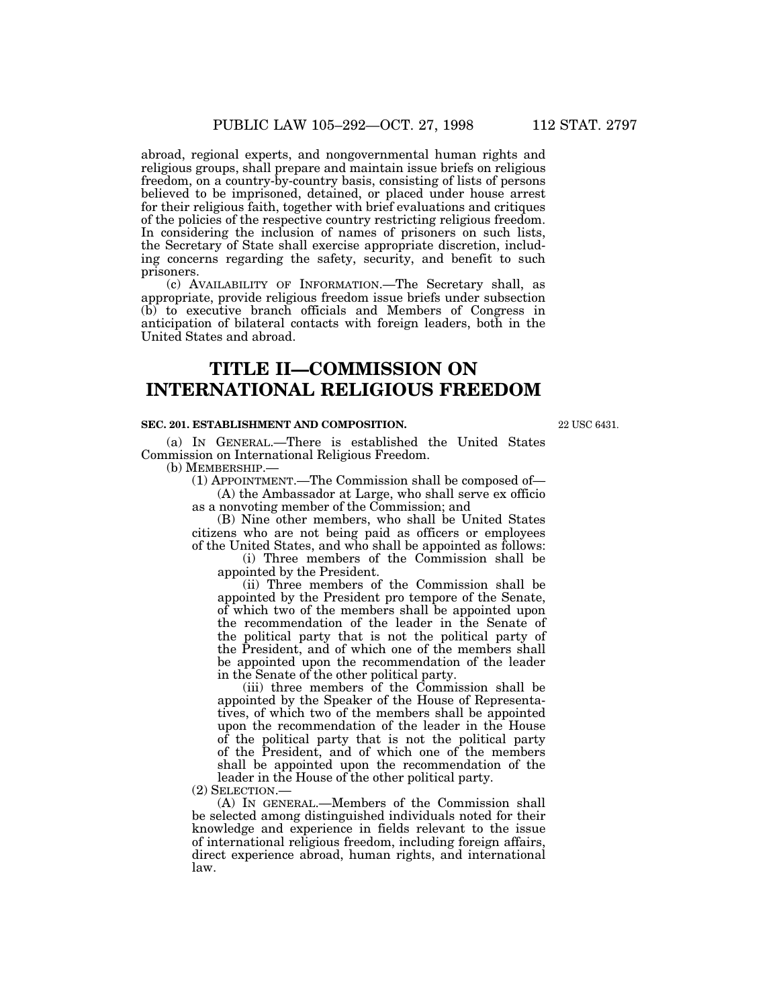abroad, regional experts, and nongovernmental human rights and religious groups, shall prepare and maintain issue briefs on religious freedom, on a country-by-country basis, consisting of lists of persons believed to be imprisoned, detained, or placed under house arrest for their religious faith, together with brief evaluations and critiques of the policies of the respective country restricting religious freedom. In considering the inclusion of names of prisoners on such lists, the Secretary of State shall exercise appropriate discretion, including concerns regarding the safety, security, and benefit to such prisoners.

(c) AVAILABILITY OF INFORMATION.—The Secretary shall, as appropriate, provide religious freedom issue briefs under subsection (b) to executive branch officials and Members of Congress in anticipation of bilateral contacts with foreign leaders, both in the United States and abroad.

# **TITLE II—COMMISSION ON INTERNATIONAL RELIGIOUS FREEDOM**

### **SEC. 201. ESTABLISHMENT AND COMPOSITION.**

(a) IN GENERAL.—There is established the United States Commission on International Religious Freedom.

(b) MEMBERSHIP.—

(1) APPOINTMENT.—The Commission shall be composed of— (A) the Ambassador at Large, who shall serve ex officio as a nonvoting member of the Commission; and

(B) Nine other members, who shall be United States citizens who are not being paid as officers or employees of the United States, and who shall be appointed as follows:

(i) Three members of the Commission shall be appointed by the President.

(ii) Three members of the Commission shall be appointed by the President pro tempore of the Senate, of which two of the members shall be appointed upon the recommendation of the leader in the Senate of the political party that is not the political party of the President, and of which one of the members shall be appointed upon the recommendation of the leader in the Senate of the other political party.

(iii) three members of the Commission shall be appointed by the Speaker of the House of Representatives, of which two of the members shall be appointed upon the recommendation of the leader in the House of the political party that is not the political party of the President, and of which one of the members shall be appointed upon the recommendation of the leader in the House of the other political party.

(2) SELECTION.—

(A) IN GENERAL.—Members of the Commission shall be selected among distinguished individuals noted for their knowledge and experience in fields relevant to the issue of international religious freedom, including foreign affairs, direct experience abroad, human rights, and international law.

22 USC 6431.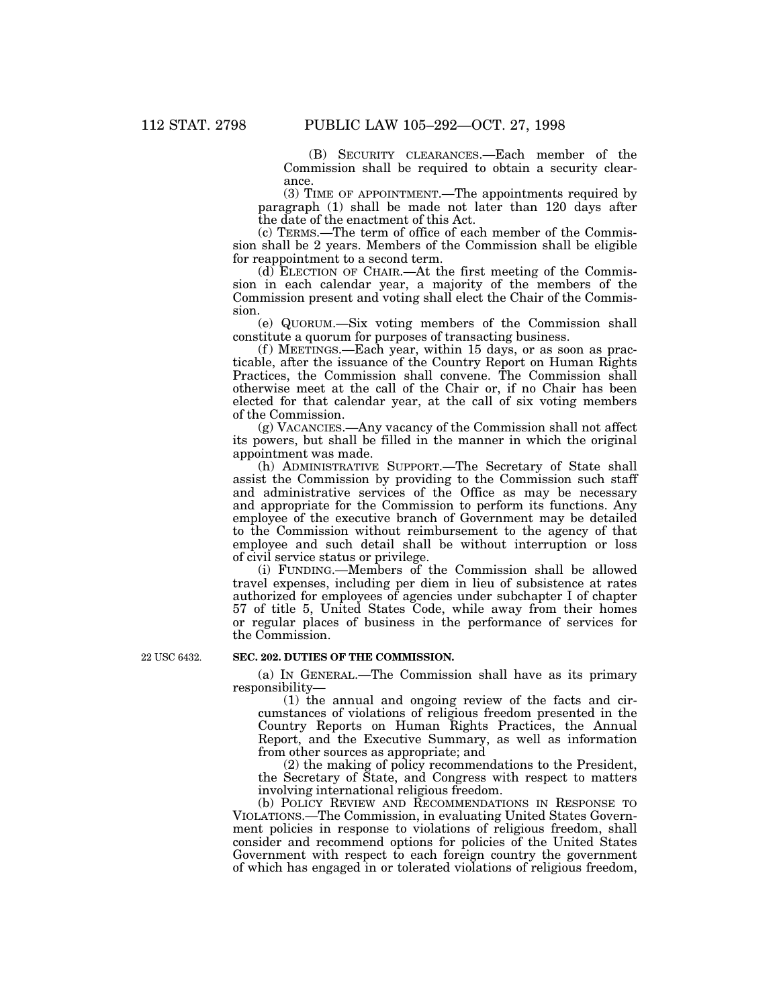(B) SECURITY CLEARANCES.—Each member of the Commission shall be required to obtain a security clearance.

(3) TIME OF APPOINTMENT.—The appointments required by paragraph (1) shall be made not later than 120 days after the date of the enactment of this Act.

(c) TERMS.—The term of office of each member of the Commission shall be 2 years. Members of the Commission shall be eligible for reappointment to a second term.

(d) ELECTION OF CHAIR.—At the first meeting of the Commission in each calendar year, a majority of the members of the Commission present and voting shall elect the Chair of the Commission.

(e) QUORUM.—Six voting members of the Commission shall constitute a quorum for purposes of transacting business.

(f) MEETINGS.—Each year, within 15 days, or as soon as practicable, after the issuance of the Country Report on Human Rights Practices, the Commission shall convene. The Commission shall otherwise meet at the call of the Chair or, if no Chair has been elected for that calendar year, at the call of six voting members of the Commission.

(g) VACANCIES.—Any vacancy of the Commission shall not affect its powers, but shall be filled in the manner in which the original appointment was made.

(h) ADMINISTRATIVE SUPPORT.—The Secretary of State shall assist the Commission by providing to the Commission such staff and administrative services of the Office as may be necessary and appropriate for the Commission to perform its functions. Any employee of the executive branch of Government may be detailed to the Commission without reimbursement to the agency of that employee and such detail shall be without interruption or loss of civil service status or privilege.

(i) FUNDING.—Members of the Commission shall be allowed travel expenses, including per diem in lieu of subsistence at rates authorized for employees of agencies under subchapter I of chapter 57 of title 5, United States Code, while away from their homes or regular places of business in the performance of services for the Commission.

22 USC 6432.

### **SEC. 202. DUTIES OF THE COMMISSION.**

(a) IN GENERAL.—The Commission shall have as its primary responsibility—

(1) the annual and ongoing review of the facts and circumstances of violations of religious freedom presented in the Country Reports on Human Rights Practices, the Annual Report, and the Executive Summary, as well as information from other sources as appropriate; and

(2) the making of policy recommendations to the President, the Secretary of State, and Congress with respect to matters involving international religious freedom.

(b) POLICY REVIEW AND RECOMMENDATIONS IN RESPONSE TO VIOLATIONS.—The Commission, in evaluating United States Government policies in response to violations of religious freedom, shall consider and recommend options for policies of the United States Government with respect to each foreign country the government of which has engaged in or tolerated violations of religious freedom,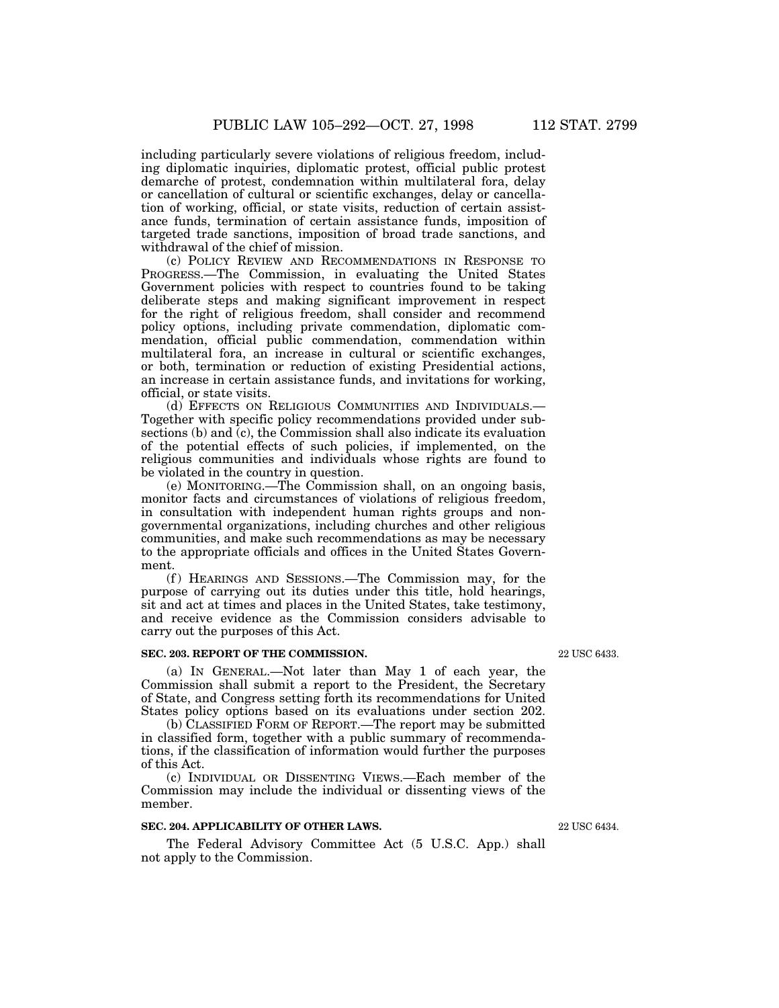including particularly severe violations of religious freedom, including diplomatic inquiries, diplomatic protest, official public protest demarche of protest, condemnation within multilateral fora, delay or cancellation of cultural or scientific exchanges, delay or cancellation of working, official, or state visits, reduction of certain assistance funds, termination of certain assistance funds, imposition of targeted trade sanctions, imposition of broad trade sanctions, and withdrawal of the chief of mission.

(c) POLICY REVIEW AND RECOMMENDATIONS IN RESPONSE TO PROGRESS.—The Commission, in evaluating the United States Government policies with respect to countries found to be taking deliberate steps and making significant improvement in respect for the right of religious freedom, shall consider and recommend policy options, including private commendation, diplomatic commendation, official public commendation, commendation within multilateral fora, an increase in cultural or scientific exchanges, or both, termination or reduction of existing Presidential actions, an increase in certain assistance funds, and invitations for working, official, or state visits.

(d) EFFECTS ON RELIGIOUS COMMUNITIES AND INDIVIDUALS.— Together with specific policy recommendations provided under subsections (b) and (c), the Commission shall also indicate its evaluation of the potential effects of such policies, if implemented, on the religious communities and individuals whose rights are found to be violated in the country in question.

(e) MONITORING.—The Commission shall, on an ongoing basis, monitor facts and circumstances of violations of religious freedom, in consultation with independent human rights groups and nongovernmental organizations, including churches and other religious communities, and make such recommendations as may be necessary to the appropriate officials and offices in the United States Government.

(f) HEARINGS AND SESSIONS.—The Commission may, for the purpose of carrying out its duties under this title, hold hearings, sit and act at times and places in the United States, take testimony, and receive evidence as the Commission considers advisable to carry out the purposes of this Act.

### **SEC. 203. REPORT OF THE COMMISSION.**

(a) IN GENERAL.—Not later than May 1 of each year, the Commission shall submit a report to the President, the Secretary of State, and Congress setting forth its recommendations for United States policy options based on its evaluations under section 202.

(b) CLASSIFIED FORM OF REPORT.—The report may be submitted in classified form, together with a public summary of recommendations, if the classification of information would further the purposes of this Act.

(c) INDIVIDUAL OR DISSENTING VIEWS.—Each member of the Commission may include the individual or dissenting views of the member.

### **SEC. 204. APPLICABILITY OF OTHER LAWS.**

The Federal Advisory Committee Act (5 U.S.C. App.) shall not apply to the Commission.

22 USC 6433.

22 USC 6434.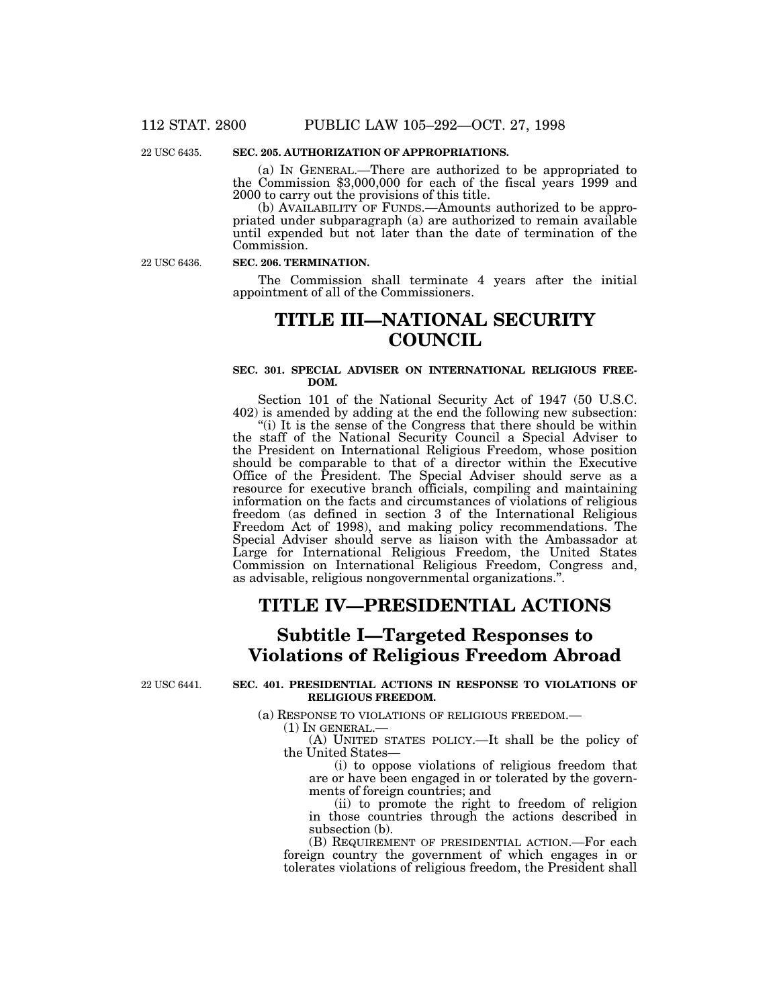22 USC 6435.

## **SEC. 205. AUTHORIZATION OF APPROPRIATIONS.**

(a) IN GENERAL.—There are authorized to be appropriated to the Commission \$3,000,000 for each of the fiscal years 1999 and 2000 to carry out the provisions of this title.

(b) AVAILABILITY OF FUNDS.—Amounts authorized to be appropriated under subparagraph (a) are authorized to remain available until expended but not later than the date of termination of the Commission.

22 USC 6436.

### **SEC. 206. TERMINATION.**

The Commission shall terminate 4 years after the initial appointment of all of the Commissioners.

# **TITLE III—NATIONAL SECURITY COUNCIL**

## **SEC. 301. SPECIAL ADVISER ON INTERNATIONAL RELIGIOUS FREE-DOM.**

Section 101 of the National Security Act of 1947 (50 U.S.C. 402) is amended by adding at the end the following new subsection:

''(i) It is the sense of the Congress that there should be within the staff of the National Security Council a Special Adviser to the President on International Religious Freedom, whose position should be comparable to that of a director within the Executive Office of the President. The Special Adviser should serve as a resource for executive branch officials, compiling and maintaining information on the facts and circumstances of violations of religious freedom (as defined in section 3 of the International Religious Freedom Act of 1998), and making policy recommendations. The Special Adviser should serve as liaison with the Ambassador at Large for International Religious Freedom, the United States Commission on International Religious Freedom, Congress and, as advisable, religious nongovernmental organizations.''.

# **TITLE IV—PRESIDENTIAL ACTIONS**

# **Subtitle I—Targeted Responses to Violations of Religious Freedom Abroad**

22 USC 6441.

### **SEC. 401. PRESIDENTIAL ACTIONS IN RESPONSE TO VIOLATIONS OF RELIGIOUS FREEDOM.**

(a) RESPONSE TO VIOLATIONS OF RELIGIOUS FREEDOM.—

(1) IN GENERAL.—

(A) UNITED STATES POLICY.—It shall be the policy of the United States—

(i) to oppose violations of religious freedom that are or have been engaged in or tolerated by the governments of foreign countries; and

(ii) to promote the right to freedom of religion in those countries through the actions described in subsection (b).

(B) REQUIREMENT OF PRESIDENTIAL ACTION.—For each foreign country the government of which engages in or tolerates violations of religious freedom, the President shall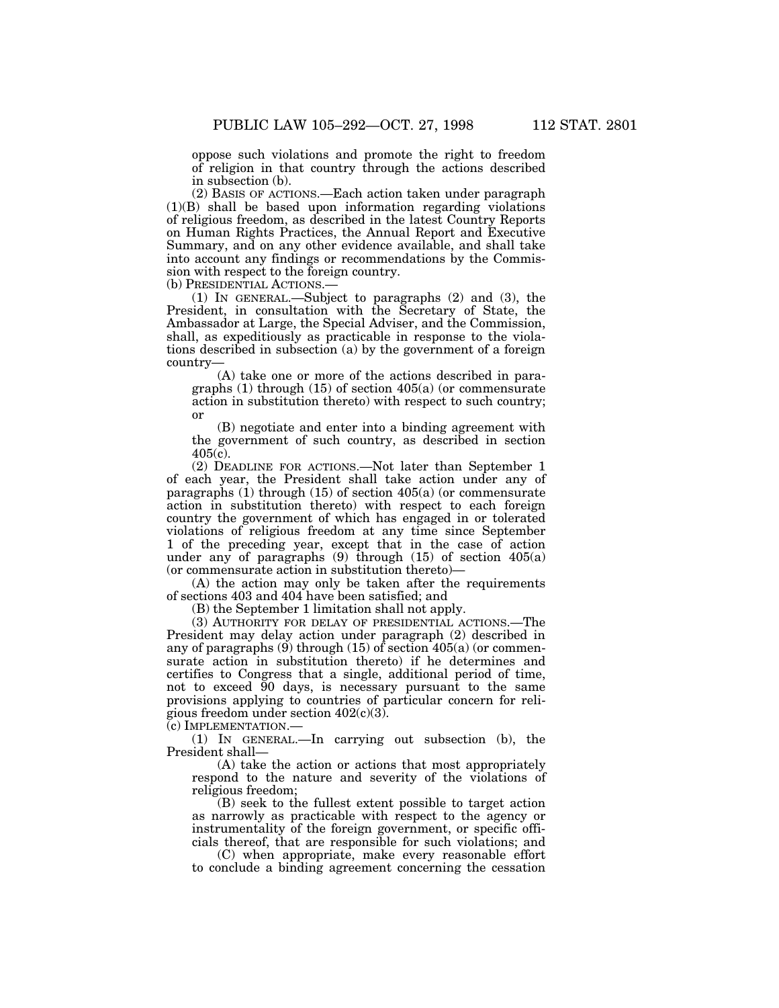oppose such violations and promote the right to freedom of religion in that country through the actions described in subsection (b).

(2) BASIS OF ACTIONS.—Each action taken under paragraph (1)(B) shall be based upon information regarding violations of religious freedom, as described in the latest Country Reports on Human Rights Practices, the Annual Report and Executive Summary, and on any other evidence available, and shall take into account any findings or recommendations by the Commission with respect to the foreign country.

(b) PRESIDENTIAL ACTIONS.—

(1) IN GENERAL.—Subject to paragraphs (2) and (3), the President, in consultation with the Secretary of State, the Ambassador at Large, the Special Adviser, and the Commission, shall, as expeditiously as practicable in response to the violations described in subsection (a) by the government of a foreign country—

(A) take one or more of the actions described in paragraphs  $(1)$  through  $(15)$  of section  $405(a)$  (or commensurate action in substitution thereto) with respect to such country; or

(B) negotiate and enter into a binding agreement with the government of such country, as described in section  $405(\overline{c})$ .

(2) DEADLINE FOR ACTIONS.—Not later than September 1 of each year, the President shall take action under any of paragraphs (1) through (15) of section 405(a) (or commensurate action in substitution thereto) with respect to each foreign country the government of which has engaged in or tolerated violations of religious freedom at any time since September 1 of the preceding year, except that in the case of action under any of paragraphs (9) through (15) of section 405(a) (or commensurate action in substitution thereto)—

(A) the action may only be taken after the requirements of sections 403 and 404 have been satisfied; and

(B) the September 1 limitation shall not apply.

(3) AUTHORITY FOR DELAY OF PRESIDENTIAL ACTIONS.—The President may delay action under paragraph (2) described in any of paragraphs  $(9)$  through  $(15)$  of section  $405(a)$  (or commensurate action in substitution thereto) if he determines and certifies to Congress that a single, additional period of time, not to exceed 90 days, is necessary pursuant to the same provisions applying to countries of particular concern for religious freedom under section 402(c)(3).

(c) IMPLEMENTATION.—

(1) IN GENERAL.—In carrying out subsection (b), the President shall—

(A) take the action or actions that most appropriately respond to the nature and severity of the violations of religious freedom;

(B) seek to the fullest extent possible to target action as narrowly as practicable with respect to the agency or instrumentality of the foreign government, or specific officials thereof, that are responsible for such violations; and

(C) when appropriate, make every reasonable effort to conclude a binding agreement concerning the cessation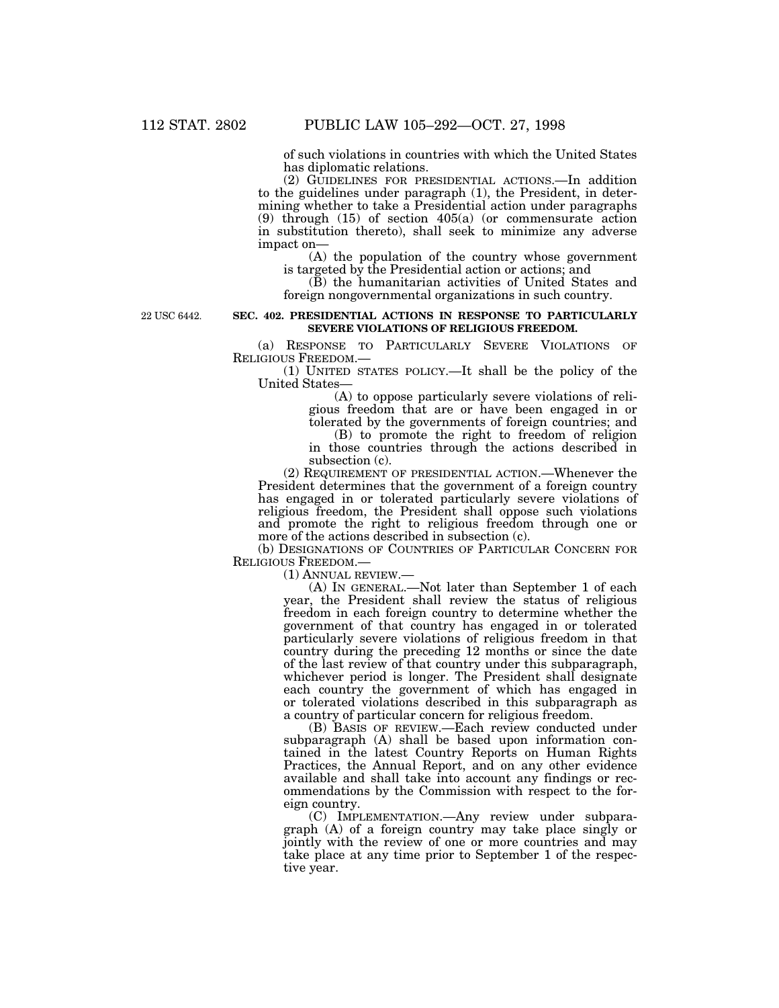of such violations in countries with which the United States has diplomatic relations.

(2) GUIDELINES FOR PRESIDENTIAL ACTIONS.—In addition to the guidelines under paragraph (1), the President, in determining whether to take a Presidential action under paragraphs (9) through (15) of section 405(a) (or commensurate action in substitution thereto), shall seek to minimize any adverse impact on—

(A) the population of the country whose government is targeted by the Presidential action or actions; and

(B) the humanitarian activities of United States and foreign nongovernmental organizations in such country.

22 USC 6442.

## **SEC. 402. PRESIDENTIAL ACTIONS IN RESPONSE TO PARTICULARLY SEVERE VIOLATIONS OF RELIGIOUS FREEDOM.**

(a) RESPONSE TO PARTICULARLY SEVERE VIOLATIONS OF RELIGIOUS FREEDOM.—

(1) UNITED STATES POLICY.—It shall be the policy of the United States—

(A) to oppose particularly severe violations of religious freedom that are or have been engaged in or

tolerated by the governments of foreign countries; and (B) to promote the right to freedom of religion in those countries through the actions described in

subsection (c).

(2) REQUIREMENT OF PRESIDENTIAL ACTION.—Whenever the President determines that the government of a foreign country has engaged in or tolerated particularly severe violations of religious freedom, the President shall oppose such violations and promote the right to religious freedom through one or more of the actions described in subsection (c).

(b) DESIGNATIONS OF COUNTRIES OF PARTICULAR CONCERN FOR RELIGIOUS FREEDOM.—

(1) ANNUAL REVIEW.—

(A) IN GENERAL.—Not later than September 1 of each year, the President shall review the status of religious freedom in each foreign country to determine whether the government of that country has engaged in or tolerated particularly severe violations of religious freedom in that country during the preceding 12 months or since the date of the last review of that country under this subparagraph, whichever period is longer. The President shall designate each country the government of which has engaged in or tolerated violations described in this subparagraph as a country of particular concern for religious freedom.

(B) BASIS OF REVIEW.—Each review conducted under subparagraph (A) shall be based upon information contained in the latest Country Reports on Human Rights Practices, the Annual Report, and on any other evidence available and shall take into account any findings or recommendations by the Commission with respect to the foreign country.

(C) IMPLEMENTATION.—Any review under subparagraph (A) of a foreign country may take place singly or jointly with the review of one or more countries and may take place at any time prior to September 1 of the respective year.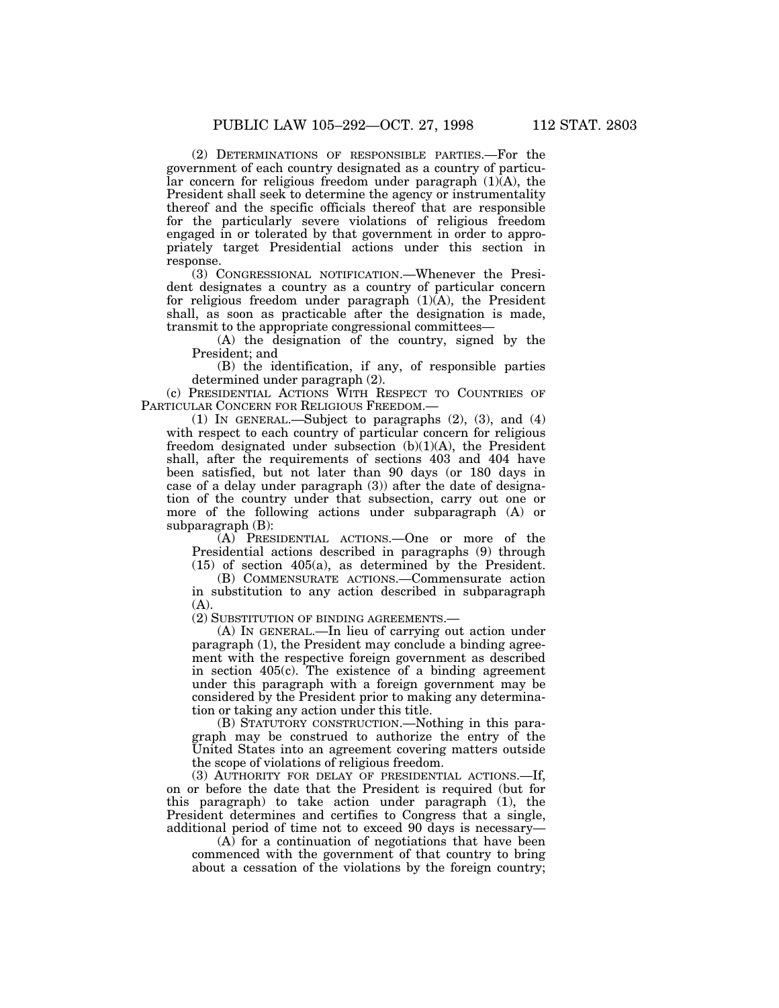(2) DETERMINATIONS OF RESPONSIBLE PARTIES.—For the government of each country designated as a country of particular concern for religious freedom under paragraph  $(1)$  $(A)$ , the President shall seek to determine the agency or instrumentality thereof and the specific officials thereof that are responsible for the particularly severe violations of religious freedom engaged in or tolerated by that government in order to appropriately target Presidential actions under this section in response.

(3) CONGRESSIONAL NOTIFICATION.—Whenever the President designates a country as a country of particular concern for religious freedom under paragraph  $(1)(A)$ , the President shall, as soon as practicable after the designation is made, transmit to the appropriate congressional committees—

(A) the designation of the country, signed by the President; and

(B) the identification, if any, of responsible parties determined under paragraph (2).

(c) PRESIDENTIAL ACTIONS WITH RESPECT TO COUNTRIES OF PARTICULAR CONCERN FOR RELIGIOUS FREEDOM.—

(1) IN GENERAL.—Subject to paragraphs (2), (3), and (4) with respect to each country of particular concern for religious freedom designated under subsection (b)(1)(A), the President shall, after the requirements of sections 403 and 404 have been satisfied, but not later than 90 days (or 180 days in case of a delay under paragraph (3)) after the date of designation of the country under that subsection, carry out one or more of the following actions under subparagraph (A) or subparagraph (B):

(A) PRESIDENTIAL ACTIONS.—One or more of the Presidential actions described in paragraphs (9) through (15) of section 405(a), as determined by the President.

(B) COMMENSURATE ACTIONS.—Commensurate action

in substitution to any action described in subparagraph  $(A)$ .

(2) SUBSTITUTION OF BINDING AGREEMENTS.—

(A) IN GENERAL.—In lieu of carrying out action under paragraph (1), the President may conclude a binding agreement with the respective foreign government as described in section  $405(c)$ . The existence of a binding agreement under this paragraph with a foreign government may be considered by the President prior to making any determination or taking any action under this title.

(B) STATUTORY CONSTRUCTION.—Nothing in this paragraph may be construed to authorize the entry of the United States into an agreement covering matters outside the scope of violations of religious freedom.

(3) AUTHORITY FOR DELAY OF PRESIDENTIAL ACTIONS.—If, on or before the date that the President is required (but for this paragraph) to take action under paragraph (1), the President determines and certifies to Congress that a single, additional period of time not to exceed 90 days is necessary—

(A) for a continuation of negotiations that have been commenced with the government of that country to bring about a cessation of the violations by the foreign country;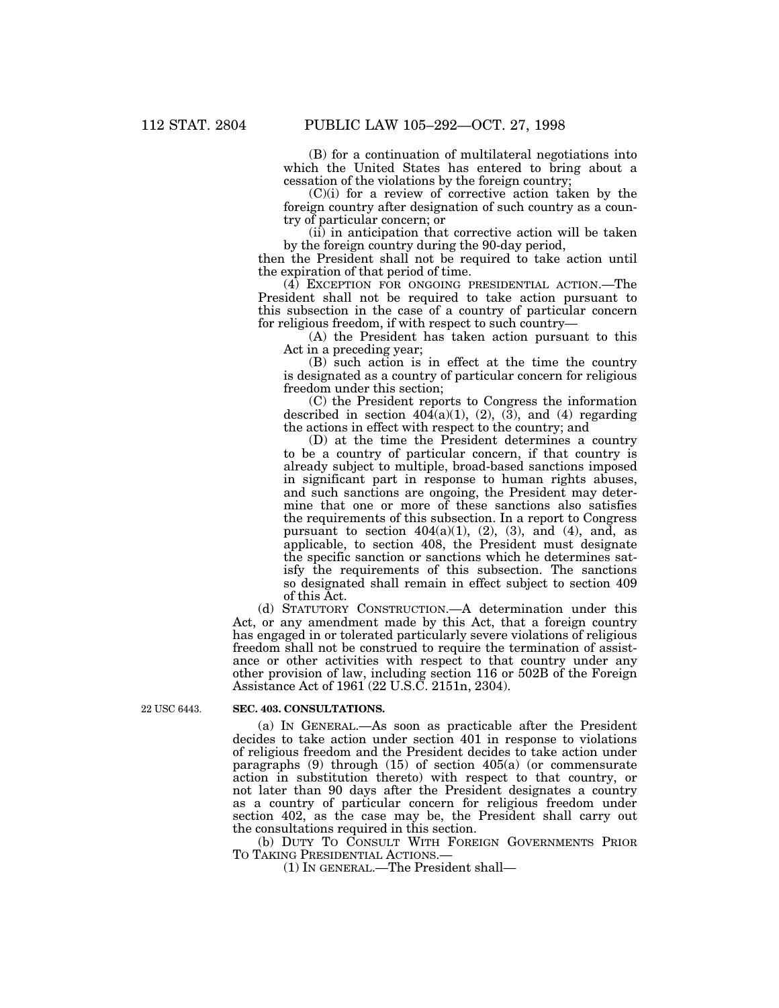(B) for a continuation of multilateral negotiations into which the United States has entered to bring about a cessation of the violations by the foreign country;

(C)(i) for a review of corrective action taken by the foreign country after designation of such country as a country of particular concern; or

(ii) in anticipation that corrective action will be taken by the foreign country during the 90-day period,

then the President shall not be required to take action until the expiration of that period of time.

(4) EXCEPTION FOR ONGOING PRESIDENTIAL ACTION.—The President shall not be required to take action pursuant to this subsection in the case of a country of particular concern for religious freedom, if with respect to such country—

(A) the President has taken action pursuant to this Act in a preceding year;

(B) such action is in effect at the time the country is designated as a country of particular concern for religious freedom under this section;

(C) the President reports to Congress the information described in section  $40\overline{4}(a)(1)$ ,  $(2)$ ,  $(\overline{3})$ , and  $(4)$  regarding the actions in effect with respect to the country; and

(D) at the time the President determines a country to be a country of particular concern, if that country is already subject to multiple, broad-based sanctions imposed in significant part in response to human rights abuses, and such sanctions are ongoing, the President may determine that one or more of these sanctions also satisfies the requirements of this subsection. In a report to Congress pursuant to section  $404(a)(1)$ ,  $(2)$ ,  $(3)$ , and  $(4)$ , and, as applicable, to section 408, the President must designate the specific sanction or sanctions which he determines satisfy the requirements of this subsection. The sanctions so designated shall remain in effect subject to section 409 of this Act.

(d) STATUTORY CONSTRUCTION.—A determination under this Act, or any amendment made by this Act, that a foreign country has engaged in or tolerated particularly severe violations of religious freedom shall not be construed to require the termination of assistance or other activities with respect to that country under any other provision of law, including section 116 or 502B of the Foreign Assistance Act of 1961 (22 U.S.C. 2151n, 2304).

22 USC 6443.

### **SEC. 403. CONSULTATIONS.**

(a) IN GENERAL.—As soon as practicable after the President decides to take action under section 401 in response to violations of religious freedom and the President decides to take action under paragraphs  $(9)$  through  $(15)$  of section  $405(a)$  (or commensurate action in substitution thereto) with respect to that country, or not later than 90 days after the President designates a country as a country of particular concern for religious freedom under section 402, as the case may be, the President shall carry out the consultations required in this section.

(b) DUTY TO CONSULT WITH FOREIGN GOVERNMENTS PRIOR TO TAKING PRESIDENTIAL ACTIONS.—

(1) IN GENERAL.—The President shall—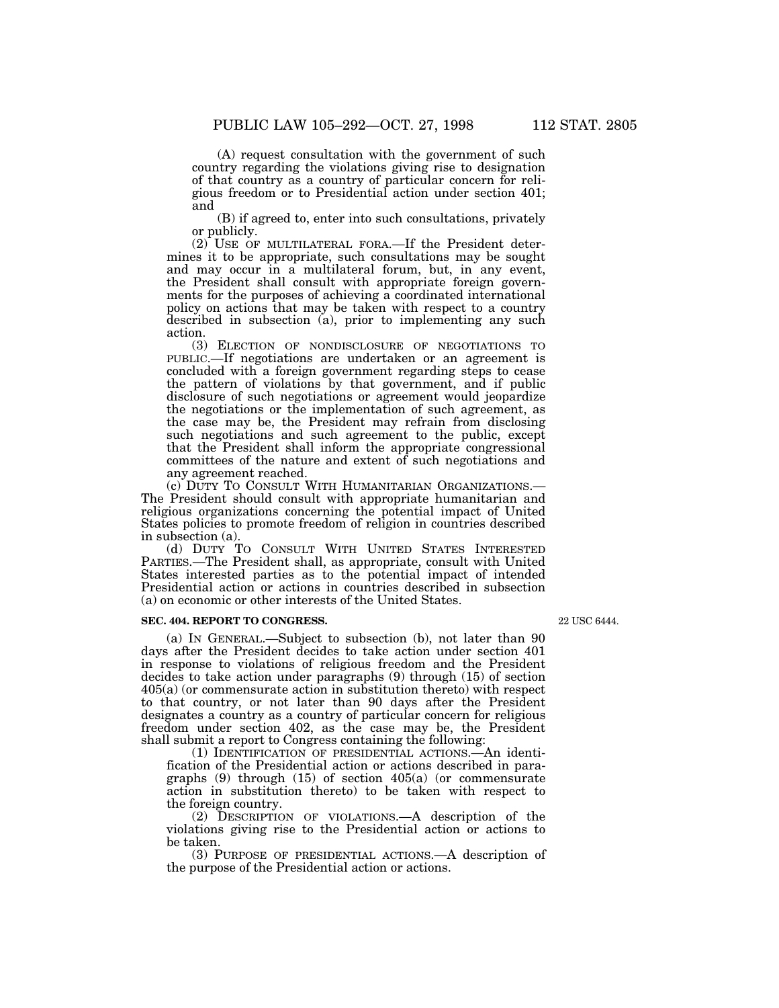(A) request consultation with the government of such country regarding the violations giving rise to designation of that country as a country of particular concern for religious freedom or to Presidential action under section 401; and

(B) if agreed to, enter into such consultations, privately or publicly.

(2) USE OF MULTILATERAL FORA.—If the President determines it to be appropriate, such consultations may be sought and may occur in a multilateral forum, but, in any event, the President shall consult with appropriate foreign governments for the purposes of achieving a coordinated international policy on actions that may be taken with respect to a country described in subsection (a), prior to implementing any such action.

(3) ELECTION OF NONDISCLOSURE OF NEGOTIATIONS TO PUBLIC.—If negotiations are undertaken or an agreement is concluded with a foreign government regarding steps to cease the pattern of violations by that government, and if public disclosure of such negotiations or agreement would jeopardize the negotiations or the implementation of such agreement, as the case may be, the President may refrain from disclosing such negotiations and such agreement to the public, except that the President shall inform the appropriate congressional committees of the nature and extent of such negotiations and any agreement reached.

(c) DUTY TO CONSULT WITH HUMANITARIAN ORGANIZATIONS.— The President should consult with appropriate humanitarian and religious organizations concerning the potential impact of United States policies to promote freedom of religion in countries described in subsection (a).

(d) DUTY TO CONSULT WITH UNITED STATES INTERESTED PARTIES.—The President shall, as appropriate, consult with United States interested parties as to the potential impact of intended Presidential action or actions in countries described in subsection (a) on economic or other interests of the United States.

### **SEC. 404. REPORT TO CONGRESS.**

(a) IN GENERAL.—Subject to subsection (b), not later than 90 days after the President decides to take action under section 401 in response to violations of religious freedom and the President decides to take action under paragraphs (9) through (15) of section 405(a) (or commensurate action in substitution thereto) with respect to that country, or not later than 90 days after the President designates a country as a country of particular concern for religious freedom under section 402, as the case may be, the President shall submit a report to Congress containing the following:

(1) IDENTIFICATION OF PRESIDENTIAL ACTIONS.—An identification of the Presidential action or actions described in paragraphs (9) through (15) of section 405(a) (or commensurate action in substitution thereto) to be taken with respect to the foreign country.

(2) DESCRIPTION OF VIOLATIONS.—A description of the violations giving rise to the Presidential action or actions to be taken.

(3) PURPOSE OF PRESIDENTIAL ACTIONS.—A description of the purpose of the Presidential action or actions.

22 USC 6444.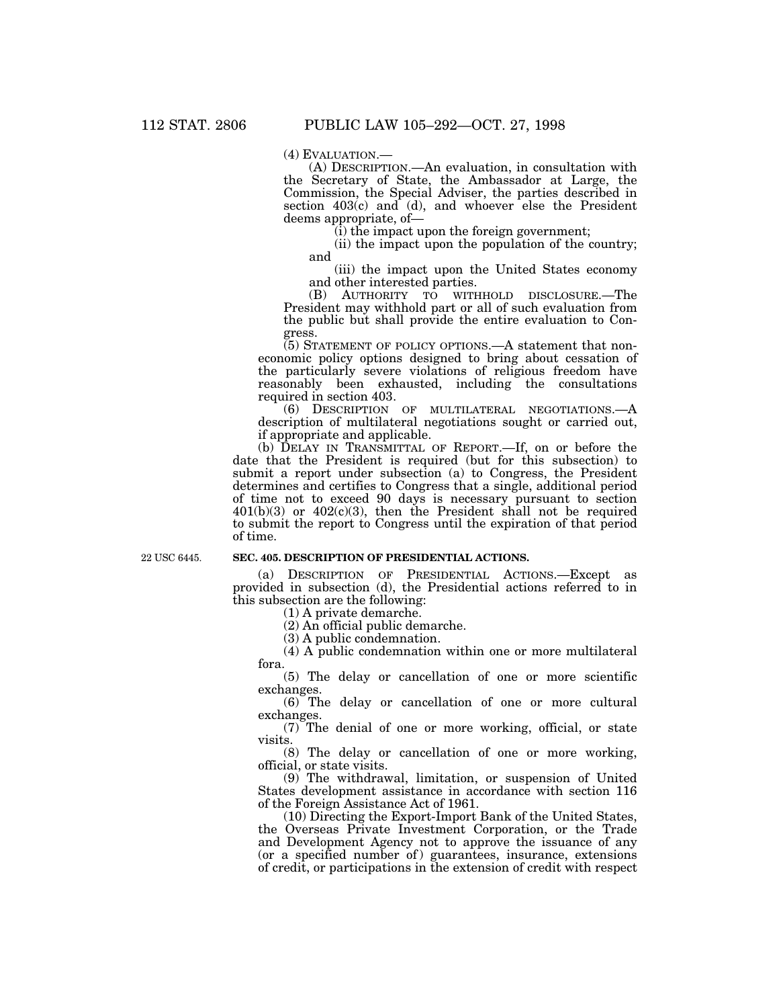(4) EVALUATION.— (A) DESCRIPTION.—An evaluation, in consultation with the Secretary of State, the Ambassador at Large, the Commission, the Special Adviser, the parties described in section  $403(c)$  and  $(d)$ , and whoever else the President deems appropriate, of—

(i) the impact upon the foreign government;

(ii) the impact upon the population of the country; and

(iii) the impact upon the United States economy and other interested parties.

(B) AUTHORITY TO WITHHOLD DISCLOSURE.—The President may withhold part or all of such evaluation from the public but shall provide the entire evaluation to Congress.

(5) STATEMENT OF POLICY OPTIONS.—A statement that noneconomic policy options designed to bring about cessation of the particularly severe violations of religious freedom have reasonably been exhausted, including the consultations required in section 403.

(6) DESCRIPTION OF MULTILATERAL NEGOTIATIONS.—A description of multilateral negotiations sought or carried out, if appropriate and applicable.

(b) DELAY IN TRANSMITTAL OF REPORT.—If, on or before the date that the President is required (but for this subsection) to submit a report under subsection (a) to Congress, the President determines and certifies to Congress that a single, additional period of time not to exceed 90 days is necessary pursuant to section  $401(b)(3)$  or  $402(c)(3)$ , then the President shall not be required to submit the report to Congress until the expiration of that period of time.

22 USC 6445.

### **SEC. 405. DESCRIPTION OF PRESIDENTIAL ACTIONS.**

(a) DESCRIPTION OF PRESIDENTIAL ACTIONS.—Except as provided in subsection (d), the Presidential actions referred to in this subsection are the following:

(1) A private demarche.

(2) An official public demarche.

(3) A public condemnation.

(4) A public condemnation within one or more multilateral fora.

(5) The delay or cancellation of one or more scientific exchanges.

(6) The delay or cancellation of one or more cultural exchanges.

(7) The denial of one or more working, official, or state visits.

(8) The delay or cancellation of one or more working, official, or state visits.

(9) The withdrawal, limitation, or suspension of United States development assistance in accordance with section 116 of the Foreign Assistance Act of 1961.

(10) Directing the Export-Import Bank of the United States, the Overseas Private Investment Corporation, or the Trade and Development Agency not to approve the issuance of any (or a specified number of) guarantees, insurance, extensions of credit, or participations in the extension of credit with respect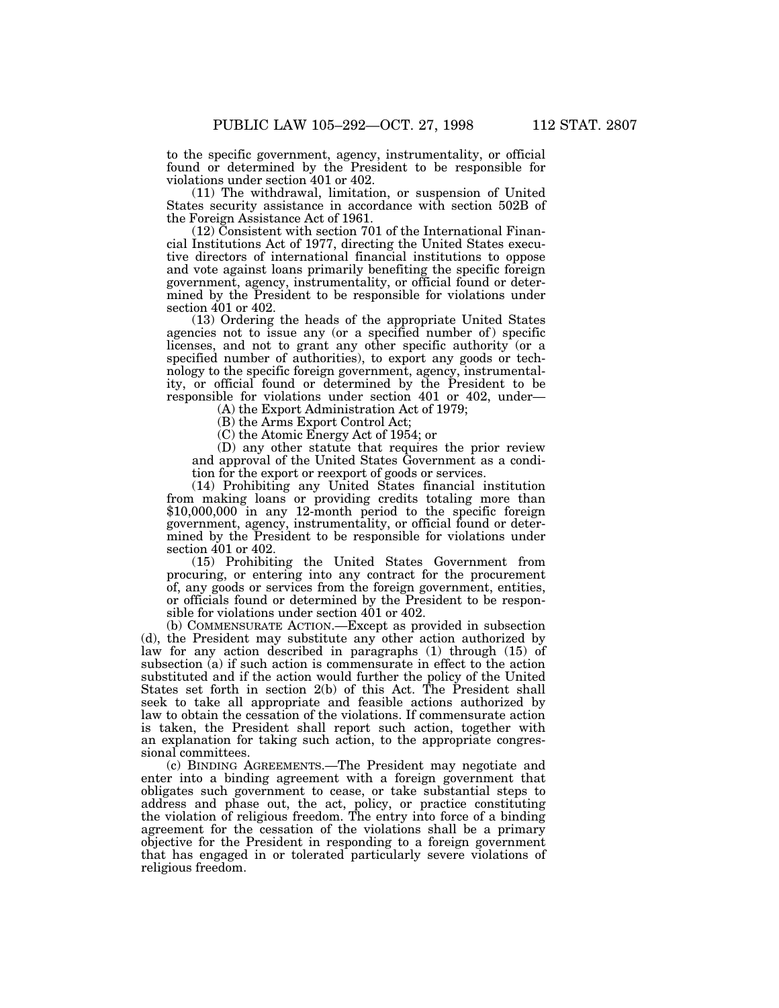to the specific government, agency, instrumentality, or official found or determined by the President to be responsible for violations under section 401 or 402.

(11) The withdrawal, limitation, or suspension of United States security assistance in accordance with section 502B of the Foreign Assistance Act of 1961.

(12) Consistent with section 701 of the International Financial Institutions Act of 1977, directing the United States executive directors of international financial institutions to oppose and vote against loans primarily benefiting the specific foreign government, agency, instrumentality, or official found or determined by the President to be responsible for violations under section 401 or 402.

(13) Ordering the heads of the appropriate United States agencies not to issue any (or a specified number of) specific licenses, and not to grant any other specific authority (or a specified number of authorities), to export any goods or technology to the specific foreign government, agency, instrumentality, or official found or determined by the President to be responsible for violations under section 401 or 402, under—

(A) the Export Administration Act of 1979;

(B) the Arms Export Control Act;

(C) the Atomic Energy Act of 1954; or

(D) any other statute that requires the prior review and approval of the United States Government as a condition for the export or reexport of goods or services.

(14) Prohibiting any United States financial institution from making loans or providing credits totaling more than \$10,000,000 in any 12-month period to the specific foreign government, agency, instrumentality, or official found or determined by the President to be responsible for violations under section 401 or 402.

(15) Prohibiting the United States Government from procuring, or entering into any contract for the procurement of, any goods or services from the foreign government, entities, or officials found or determined by the President to be responsible for violations under section 401 or 402.

(b) COMMENSURATE ACTION.—Except as provided in subsection (d), the President may substitute any other action authorized by law for any action described in paragraphs (1) through (15) of subsection (a) if such action is commensurate in effect to the action substituted and if the action would further the policy of the United States set forth in section 2(b) of this Act. The President shall seek to take all appropriate and feasible actions authorized by law to obtain the cessation of the violations. If commensurate action is taken, the President shall report such action, together with an explanation for taking such action, to the appropriate congressional committees.

(c) BINDING AGREEMENTS.—The President may negotiate and enter into a binding agreement with a foreign government that obligates such government to cease, or take substantial steps to address and phase out, the act, policy, or practice constituting the violation of religious freedom. The entry into force of a binding agreement for the cessation of the violations shall be a primary objective for the President in responding to a foreign government that has engaged in or tolerated particularly severe violations of religious freedom.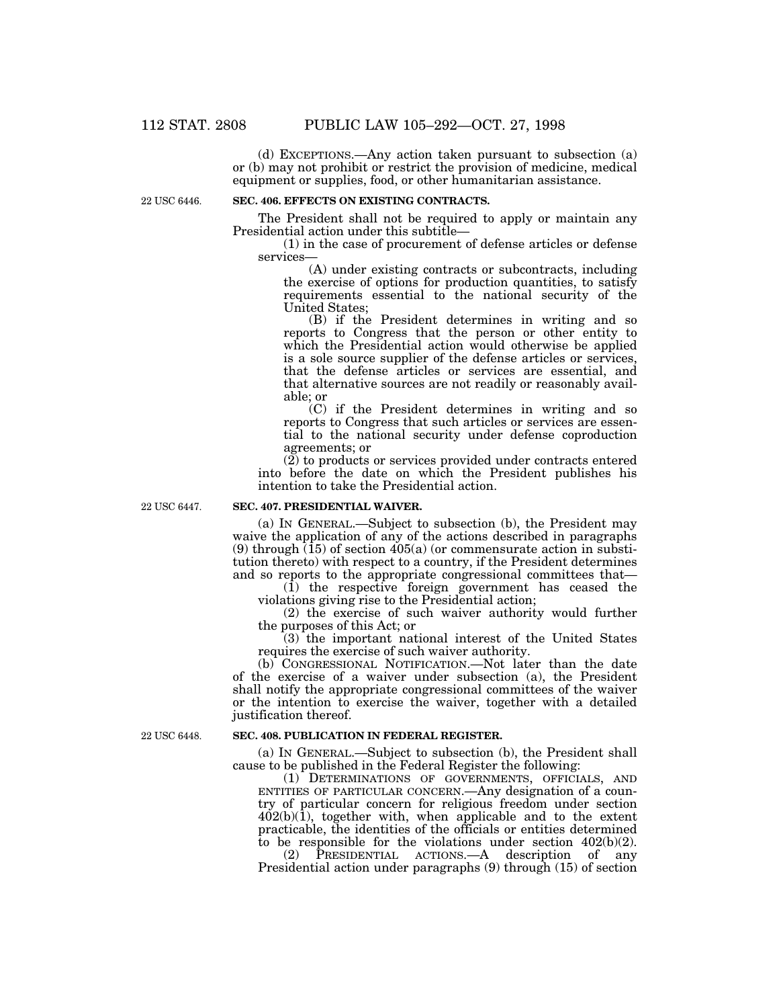(d) EXCEPTIONS.—Any action taken pursuant to subsection (a) or (b) may not prohibit or restrict the provision of medicine, medical equipment or supplies, food, or other humanitarian assistance.

22 USC 6446.

## **SEC. 406. EFFECTS ON EXISTING CONTRACTS.**

The President shall not be required to apply or maintain any Presidential action under this subtitle—

(1) in the case of procurement of defense articles or defense services—

(A) under existing contracts or subcontracts, including the exercise of options for production quantities, to satisfy requirements essential to the national security of the United States;

(B) if the President determines in writing and so reports to Congress that the person or other entity to which the Presidential action would otherwise be applied is a sole source supplier of the defense articles or services, that the defense articles or services are essential, and that alternative sources are not readily or reasonably available; or

(C) if the President determines in writing and so reports to Congress that such articles or services are essential to the national security under defense coproduction agreements; or

(2) to products or services provided under contracts entered into before the date on which the President publishes his intention to take the Presidential action.

22 USC 6447.

### **SEC. 407. PRESIDENTIAL WAIVER.**

(a) IN GENERAL.—Subject to subsection (b), the President may waive the application of any of the actions described in paragraphs (9) through  $(15)$  of section  $405(a)$  (or commensurate action in substitution thereto) with respect to a country, if the President determines and so reports to the appropriate congressional committees that—

(1) the respective foreign government has ceased the violations giving rise to the Presidential action;

(2) the exercise of such waiver authority would further the purposes of this Act; or

(3) the important national interest of the United States requires the exercise of such waiver authority.

(b) CONGRESSIONAL NOTIFICATION.—Not later than the date of the exercise of a waiver under subsection (a), the President shall notify the appropriate congressional committees of the waiver or the intention to exercise the waiver, together with a detailed justification thereof.

### **SEC. 408. PUBLICATION IN FEDERAL REGISTER.**

(a) IN GENERAL.—Subject to subsection (b), the President shall cause to be published in the Federal Register the following:

(1) DETERMINATIONS OF GOVERNMENTS, OFFICIALS, AND ENTITIES OF PARTICULAR CONCERN.—Any designation of a country of particular concern for religious freedom under section  $402(b)(1)$ , together with, when applicable and to the extent practicable, the identities of the officials or entities determined to be responsible for the violations under section  $402(b)(2)$ .

(2) PRESIDENTIAL ACTIONS.—A description of any Presidential action under paragraphs (9) through (15) of section

22 USC 6448.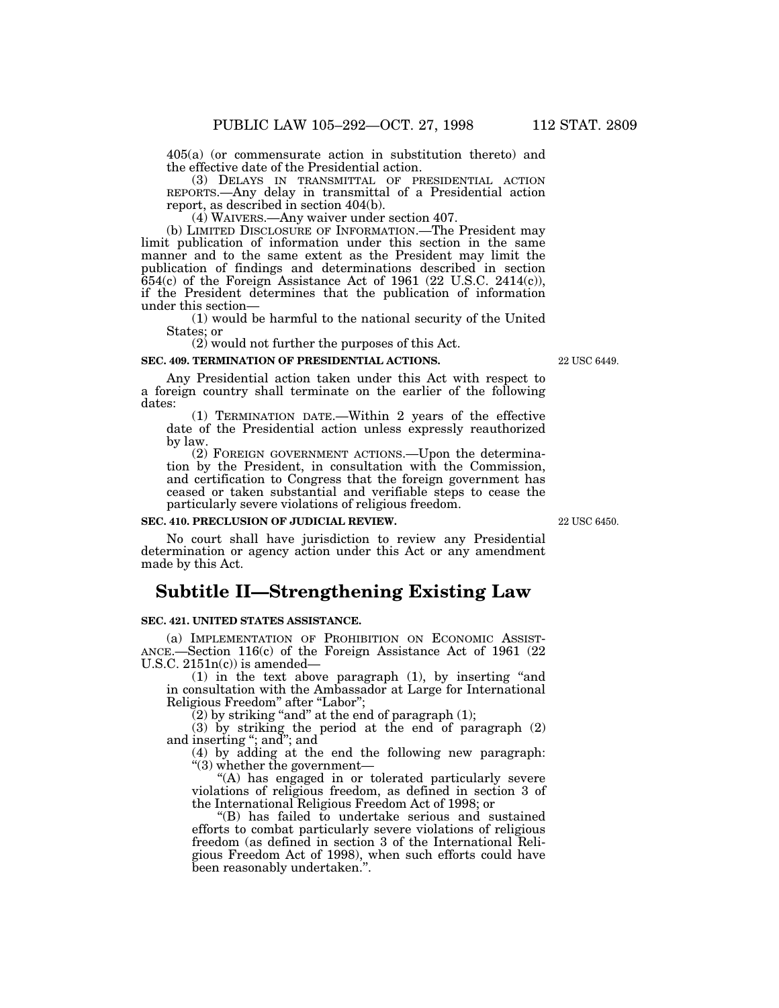405(a) (or commensurate action in substitution thereto) and the effective date of the Presidential action.

(3) DELAYS IN TRANSMITTAL OF PRESIDENTIAL ACTION REPORTS.—Any delay in transmittal of a Presidential action report, as described in section 404(b).

(4) WAIVERS.—Any waiver under section 407.

(b) LIMITED DISCLOSURE OF INFORMATION.—The President may limit publication of information under this section in the same manner and to the same extent as the President may limit the publication of findings and determinations described in section  $654(c)$  of the Foreign Assistance Act of 1961 (22 U.S.C. 2414(c)), if the President determines that the publication of information under this section—

(1) would be harmful to the national security of the United States; or

(2) would not further the purposes of this Act.

### **SEC. 409. TERMINATION OF PRESIDENTIAL ACTIONS.**

22 USC 6449

Any Presidential action taken under this Act with respect to a foreign country shall terminate on the earlier of the following dates:

(1) TERMINATION DATE.—Within 2 years of the effective date of the Presidential action unless expressly reauthorized by law.

(2) FOREIGN GOVERNMENT ACTIONS.—Upon the determination by the President, in consultation with the Commission, and certification to Congress that the foreign government has ceased or taken substantial and verifiable steps to cease the particularly severe violations of religious freedom.

### **SEC. 410. PRECLUSION OF JUDICIAL REVIEW.**

No court shall have jurisdiction to review any Presidential determination or agency action under this Act or any amendment made by this Act.

# **Subtitle II—Strengthening Existing Law**

### **SEC. 421. UNITED STATES ASSISTANCE.**

(a) IMPLEMENTATION OF PROHIBITION ON ECONOMIC ASSIST- ANCE.—Section 116(c) of the Foreign Assistance Act of 1961 (22 U.S.C. 2151n(c)) is amended—

 $(1)$  in the text above paragraph  $(1)$ , by inserting "and in consultation with the Ambassador at Large for International Religious Freedom" after "Labor";

 $(2)$  by striking "and" at the end of paragraph  $(1)$ ;

(3) by striking the period at the end of paragraph (2) and inserting ''; and''; and

(4) by adding at the end the following new paragraph: ''(3) whether the government—

"(A) has engaged in or tolerated particularly severe violations of religious freedom, as defined in section 3 of the International Religious Freedom Act of 1998; or

''(B) has failed to undertake serious and sustained efforts to combat particularly severe violations of religious freedom (as defined in section 3 of the International Religious Freedom Act of 1998), when such efforts could have been reasonably undertaken.''.

22 USC 6450.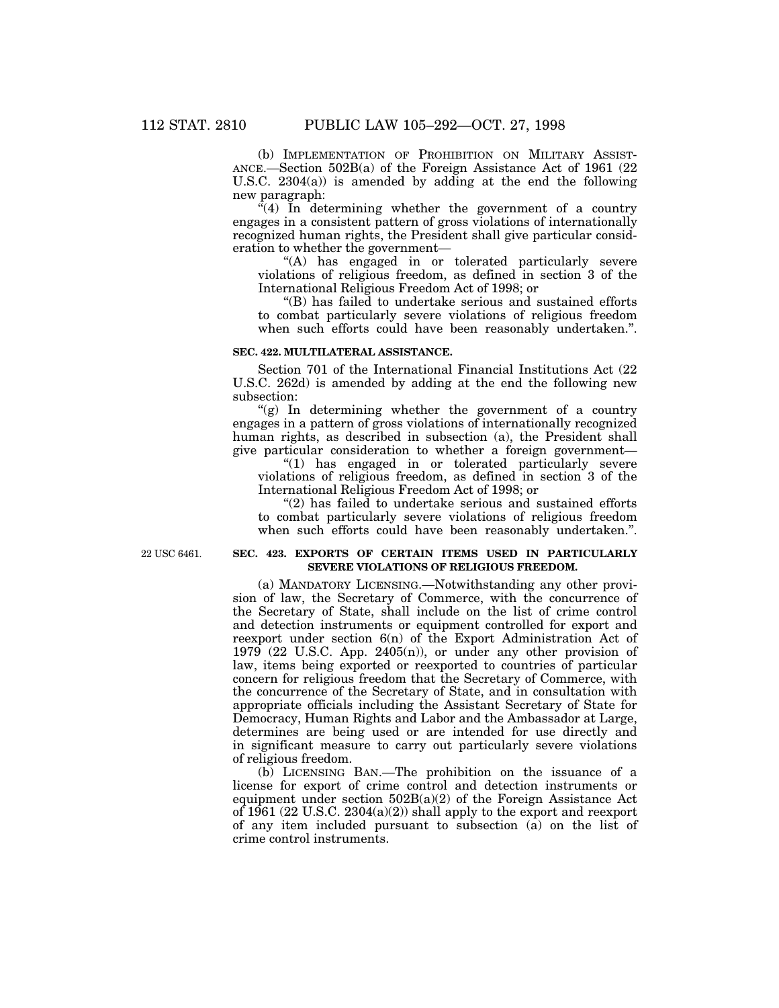(b) IMPLEMENTATION OF PROHIBITION ON MILITARY ASSIST-ANCE.—Section 502B(a) of the Foreign Assistance Act of 1961 (22 U.S.C. 2304(a)) is amended by adding at the end the following new paragraph:

 $\mathbf{F}(4)$  In determining whether the government of a country engages in a consistent pattern of gross violations of internationally recognized human rights, the President shall give particular consideration to whether the government—

"(A) has engaged in or tolerated particularly severe violations of religious freedom, as defined in section 3 of the International Religious Freedom Act of 1998; or

''(B) has failed to undertake serious and sustained efforts to combat particularly severe violations of religious freedom when such efforts could have been reasonably undertaken.".

### **SEC. 422. MULTILATERAL ASSISTANCE.**

Section 701 of the International Financial Institutions Act (22 U.S.C. 262d) is amended by adding at the end the following new subsection:

 $(g)$  In determining whether the government of a country engages in a pattern of gross violations of internationally recognized human rights, as described in subsection (a), the President shall give particular consideration to whether a foreign government—

"(1) has engaged in or tolerated particularly severe violations of religious freedom, as defined in section 3 of the International Religious Freedom Act of 1998; or

''(2) has failed to undertake serious and sustained efforts to combat particularly severe violations of religious freedom when such efforts could have been reasonably undertaken.''.

22 USC 6461.

### **SEC. 423. EXPORTS OF CERTAIN ITEMS USED IN PARTICULARLY SEVERE VIOLATIONS OF RELIGIOUS FREEDOM.**

(a) MANDATORY LICENSING.—Notwithstanding any other provision of law, the Secretary of Commerce, with the concurrence of the Secretary of State, shall include on the list of crime control and detection instruments or equipment controlled for export and reexport under section 6(n) of the Export Administration Act of  $1979 (22 U.S.C. App. 2405(n))$ , or under any other provision of law, items being exported or reexported to countries of particular concern for religious freedom that the Secretary of Commerce, with the concurrence of the Secretary of State, and in consultation with appropriate officials including the Assistant Secretary of State for Democracy, Human Rights and Labor and the Ambassador at Large, determines are being used or are intended for use directly and in significant measure to carry out particularly severe violations of religious freedom.

(b) LICENSING BAN.—The prohibition on the issuance of a license for export of crime control and detection instruments or equipment under section 502B(a)(2) of the Foreign Assistance Act of 1961 (22 U.S.C. 2304(a)(2)) shall apply to the export and reexport of any item included pursuant to subsection (a) on the list of crime control instruments.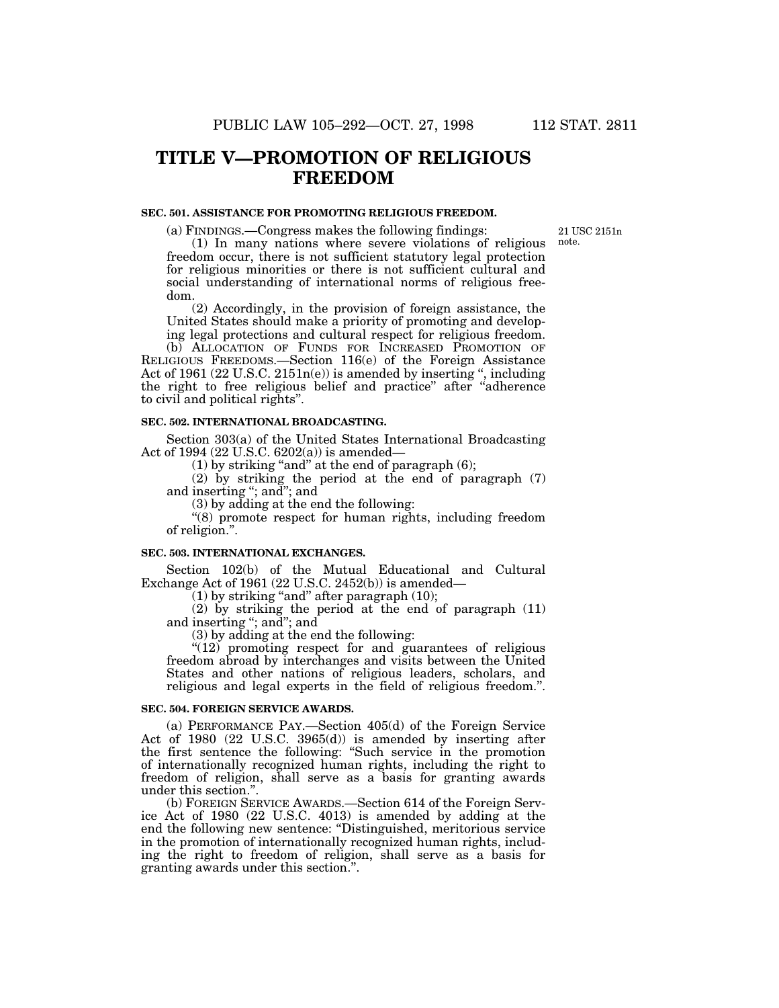# **TITLE V—PROMOTION OF RELIGIOUS FREEDOM**

# **SEC. 501. ASSISTANCE FOR PROMOTING RELIGIOUS FREEDOM.**

(a) FINDINGS.—Congress makes the following findings:

(1) In many nations where severe violations of religious freedom occur, there is not sufficient statutory legal protection for religious minorities or there is not sufficient cultural and social understanding of international norms of religious freedom.

(2) Accordingly, in the provision of foreign assistance, the United States should make a priority of promoting and developing legal protections and cultural respect for religious freedom.

(b) ALLOCATION OF FUNDS FOR INCREASED PROMOTION OF RELIGIOUS FREEDOMS.—Section 116(e) of the Foreign Assistance Act of 1961 (22 U.S.C. 2151n(e)) is amended by inserting '', including the right to free religious belief and practice'' after ''adherence to civil and political rights''.

### **SEC. 502. INTERNATIONAL BROADCASTING.**

Section 303(a) of the United States International Broadcasting Act of 1994 (22 U.S.C. 6202(a)) is amended—

 $(1)$  by striking "and" at the end of paragraph  $(6)$ ;

(2) by striking the period at the end of paragraph (7) and inserting ''; and''; and

(3) by adding at the end the following:

''(8) promote respect for human rights, including freedom of religion.''.

### **SEC. 503. INTERNATIONAL EXCHANGES.**

Section 102(b) of the Mutual Educational and Cultural Exchange Act of 1961 (22 U.S.C. 2452(b)) is amended—

(1) by striking ''and'' after paragraph (10);

(2) by striking the period at the end of paragraph (11) and inserting ''; and''; and

(3) by adding at the end the following:

 $(12)$  promoting respect for and guarantees of religious freedom abroad by interchanges and visits between the United States and other nations of religious leaders, scholars, and religious and legal experts in the field of religious freedom.''.

### **SEC. 504. FOREIGN SERVICE AWARDS.**

(a) PERFORMANCE PAY.—Section 405(d) of the Foreign Service Act of 1980 (22 U.S.C. 3965(d)) is amended by inserting after the first sentence the following: ''Such service in the promotion of internationally recognized human rights, including the right to freedom of religion, shall serve as a basis for granting awards under this section.''.

(b) FOREIGN SERVICE AWARDS.—Section 614 of the Foreign Service Act of 1980 (22 U.S.C. 4013) is amended by adding at the end the following new sentence: ''Distinguished, meritorious service in the promotion of internationally recognized human rights, including the right to freedom of religion, shall serve as a basis for granting awards under this section.''.

21 USC 2151n note.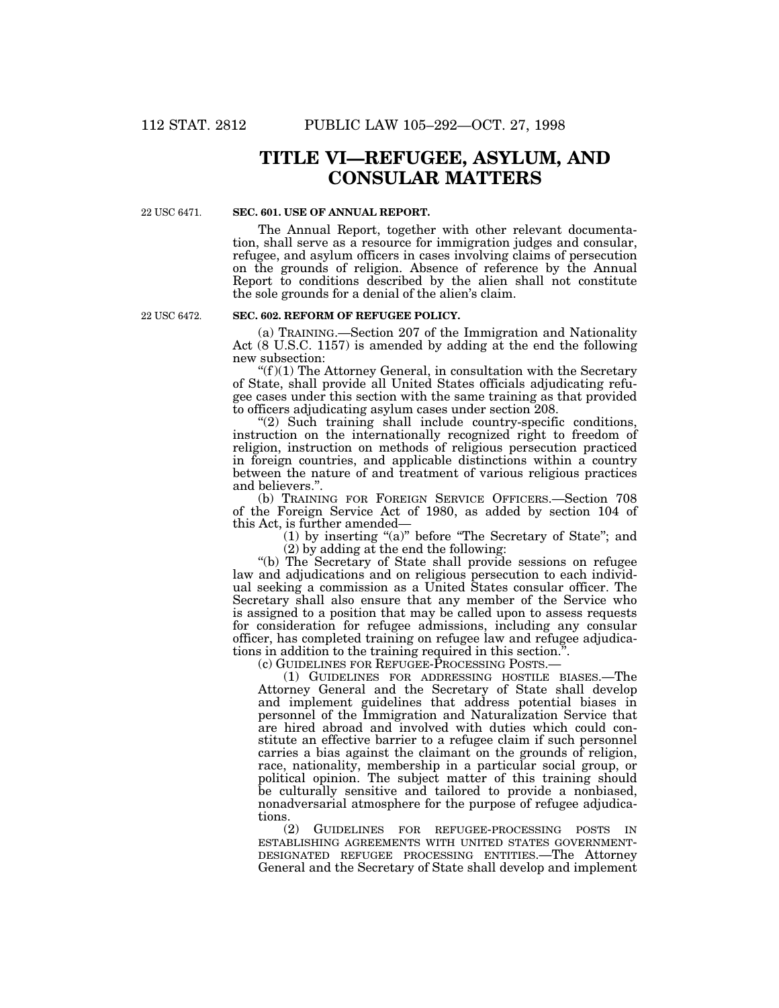# **TITLE VI—REFUGEE, ASYLUM, AND CONSULAR MATTERS**

22 USC 6471.

### **SEC. 601. USE OF ANNUAL REPORT.**

The Annual Report, together with other relevant documentation, shall serve as a resource for immigration judges and consular, refugee, and asylum officers in cases involving claims of persecution on the grounds of religion. Absence of reference by the Annual Report to conditions described by the alien shall not constitute the sole grounds for a denial of the alien's claim.

22 USC 6472.

## **SEC. 602. REFORM OF REFUGEE POLICY.**

(a) TRAINING.—Section 207 of the Immigration and Nationality Act (8 U.S.C. 1157) is amended by adding at the end the following new subsection:

 $f(f)(1)$  The Attorney General, in consultation with the Secretary of State, shall provide all United States officials adjudicating refugee cases under this section with the same training as that provided to officers adjudicating asylum cases under section 208.

"(2) Such training shall include country-specific conditions, instruction on the internationally recognized right to freedom of religion, instruction on methods of religious persecution practiced in foreign countries, and applicable distinctions within a country between the nature of and treatment of various religious practices and believers.''.

(b) TRAINING FOR FOREIGN SERVICE OFFICERS.—Section 708 of the Foreign Service Act of 1980, as added by section 104 of this Act, is further amended—

(1) by inserting "(a)" before "The Secretary of State"; and (2) by adding at the end the following:

''(b) The Secretary of State shall provide sessions on refugee law and adjudications and on religious persecution to each individual seeking a commission as a United States consular officer. The Secretary shall also ensure that any member of the Service who is assigned to a position that may be called upon to assess requests for consideration for refugee admissions, including any consular officer, has completed training on refugee law and refugee adjudications in addition to the training required in this section.''.

(c) GUIDELINES FOR REFUGEE-PROCESSING POSTS.—

(1) GUIDELINES FOR ADDRESSING HOSTILE BIASES.—The Attorney General and the Secretary of State shall develop and implement guidelines that address potential biases in personnel of the Immigration and Naturalization Service that are hired abroad and involved with duties which could constitute an effective barrier to a refugee claim if such personnel carries a bias against the claimant on the grounds of religion, race, nationality, membership in a particular social group, or political opinion. The subject matter of this training should be culturally sensitive and tailored to provide a nonbiased, nonadversarial atmosphere for the purpose of refugee adjudications.

(2) GUIDELINES FOR REFUGEE-PROCESSING POSTS IN ESTABLISHING AGREEMENTS WITH UNITED STATES GOVERNMENT-DESIGNATED REFUGEE PROCESSING ENTITIES.—The Attorney General and the Secretary of State shall develop and implement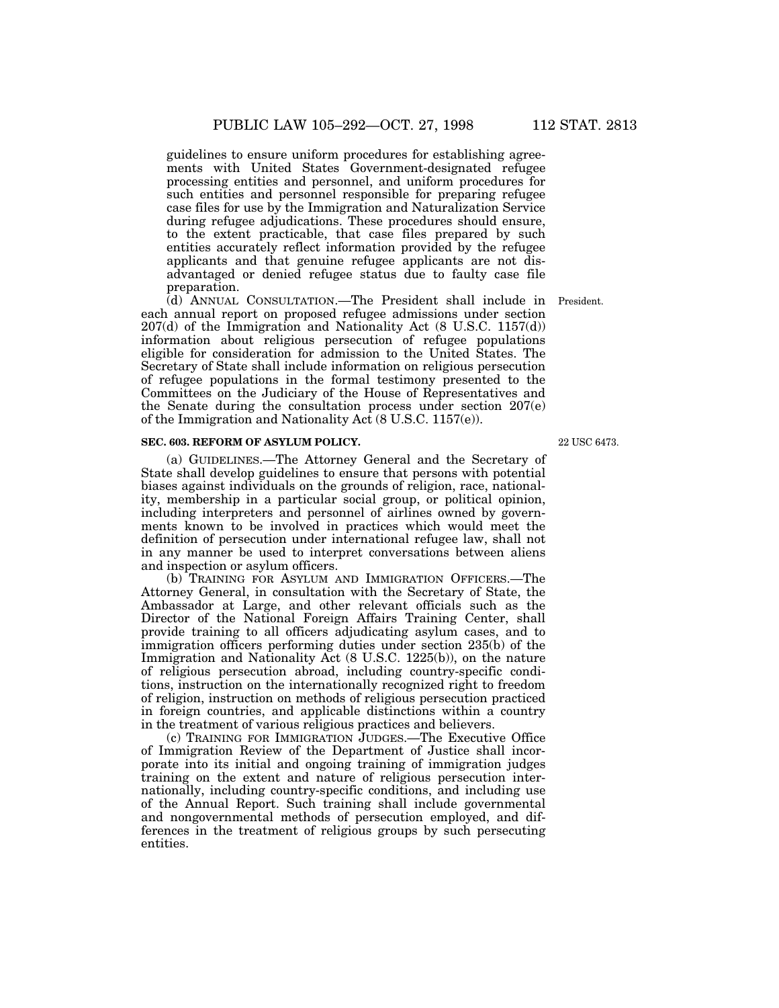guidelines to ensure uniform procedures for establishing agreements with United States Government-designated refugee processing entities and personnel, and uniform procedures for such entities and personnel responsible for preparing refugee case files for use by the Immigration and Naturalization Service during refugee adjudications. These procedures should ensure, to the extent practicable, that case files prepared by such entities accurately reflect information provided by the refugee applicants and that genuine refugee applicants are not disadvantaged or denied refugee status due to faulty case file preparation.

(d) ANNUAL CONSULTATION.—The President shall include in President.each annual report on proposed refugee admissions under section 207(d) of the Immigration and Nationality Act (8 U.S.C. 1157(d)) information about religious persecution of refugee populations eligible for consideration for admission to the United States. The Secretary of State shall include information on religious persecution of refugee populations in the formal testimony presented to the Committees on the Judiciary of the House of Representatives and the Senate during the consultation process under section 207(e) of the Immigration and Nationality Act (8 U.S.C. 1157(e)).

## **SEC. 603. REFORM OF ASYLUM POLICY.**

(a) GUIDELINES.—The Attorney General and the Secretary of State shall develop guidelines to ensure that persons with potential biases against individuals on the grounds of religion, race, nationality, membership in a particular social group, or political opinion, including interpreters and personnel of airlines owned by governments known to be involved in practices which would meet the definition of persecution under international refugee law, shall not in any manner be used to interpret conversations between aliens and inspection or asylum officers.

(b) TRAINING FOR ASYLUM AND IMMIGRATION OFFICERS.—The Attorney General, in consultation with the Secretary of State, the Ambassador at Large, and other relevant officials such as the Director of the National Foreign Affairs Training Center, shall provide training to all officers adjudicating asylum cases, and to immigration officers performing duties under section 235(b) of the Immigration and Nationality Act (8 U.S.C. 1225(b)), on the nature of religious persecution abroad, including country-specific conditions, instruction on the internationally recognized right to freedom of religion, instruction on methods of religious persecution practiced in foreign countries, and applicable distinctions within a country in the treatment of various religious practices and believers.

(c) TRAINING FOR IMMIGRATION JUDGES.—The Executive Office of Immigration Review of the Department of Justice shall incorporate into its initial and ongoing training of immigration judges training on the extent and nature of religious persecution internationally, including country-specific conditions, and including use of the Annual Report. Such training shall include governmental and nongovernmental methods of persecution employed, and differences in the treatment of religious groups by such persecuting entities.

22 USC 6473.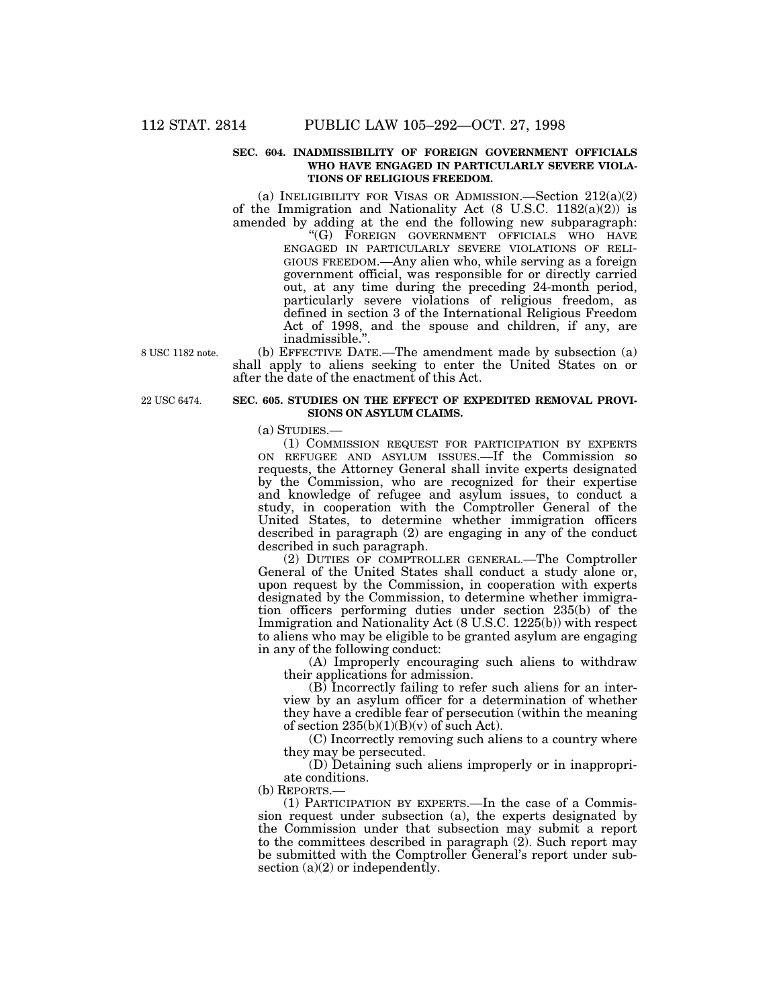### **SEC. 604. INADMISSIBILITY OF FOREIGN GOVERNMENT OFFICIALS WHO HAVE ENGAGED IN PARTICULARLY SEVERE VIOLA-TIONS OF RELIGIOUS FREEDOM.**

(a) INELIGIBILITY FOR VISAS OR ADMISSION.—Section 212(a)(2) of the Immigration and Nationality Act (8 U.S.C. 1182(a)(2)) is amended by adding at the end the following new subparagraph:

> "(G) FOREIGN GOVERNMENT OFFICIALS WHO HAVE ENGAGED IN PARTICULARLY SEVERE VIOLATIONS OF RELI-GIOUS FREEDOM.—Any alien who, while serving as a foreign government official, was responsible for or directly carried out, at any time during the preceding 24-month period, particularly severe violations of religious freedom, as defined in section 3 of the International Religious Freedom Act of 1998, and the spouse and children, if any, are inadmissible.''.

8 USC 1182 note.

(b) EFFECTIVE DATE.—The amendment made by subsection (a) shall apply to aliens seeking to enter the United States on or after the date of the enactment of this Act.

22 USC 6474.

# **SEC. 605. STUDIES ON THE EFFECT OF EXPEDITED REMOVAL PROVI-SIONS ON ASYLUM CLAIMS.**

(a) STUDIES.—

(1) COMMISSION REQUEST FOR PARTICIPATION BY EXPERTS ON REFUGEE AND ASYLUM ISSUES.—If the Commission so requests, the Attorney General shall invite experts designated by the Commission, who are recognized for their expertise and knowledge of refugee and asylum issues, to conduct a study, in cooperation with the Comptroller General of the United States, to determine whether immigration officers described in paragraph (2) are engaging in any of the conduct described in such paragraph.

(2) DUTIES OF COMPTROLLER GENERAL.—The Comptroller General of the United States shall conduct a study alone or, upon request by the Commission, in cooperation with experts designated by the Commission, to determine whether immigration officers performing duties under section 235(b) of the Immigration and Nationality Act (8 U.S.C. 1225(b)) with respect to aliens who may be eligible to be granted asylum are engaging in any of the following conduct:

(A) Improperly encouraging such aliens to withdraw their applications for admission.

(B) Incorrectly failing to refer such aliens for an interview by an asylum officer for a determination of whether they have a credible fear of persecution (within the meaning of section  $235(b)(1)(B)(v)$  of such Act).

(C) Incorrectly removing such aliens to a country where they may be persecuted.

(D) Detaining such aliens improperly or in inappropriate conditions.

(b) REPORTS.—

(1) PARTICIPATION BY EXPERTS.—In the case of a Commission request under subsection (a), the experts designated by the Commission under that subsection may submit a report to the committees described in paragraph (2). Such report may be submitted with the Comptroller General's report under subsection  $(a)(2)$  or independently.